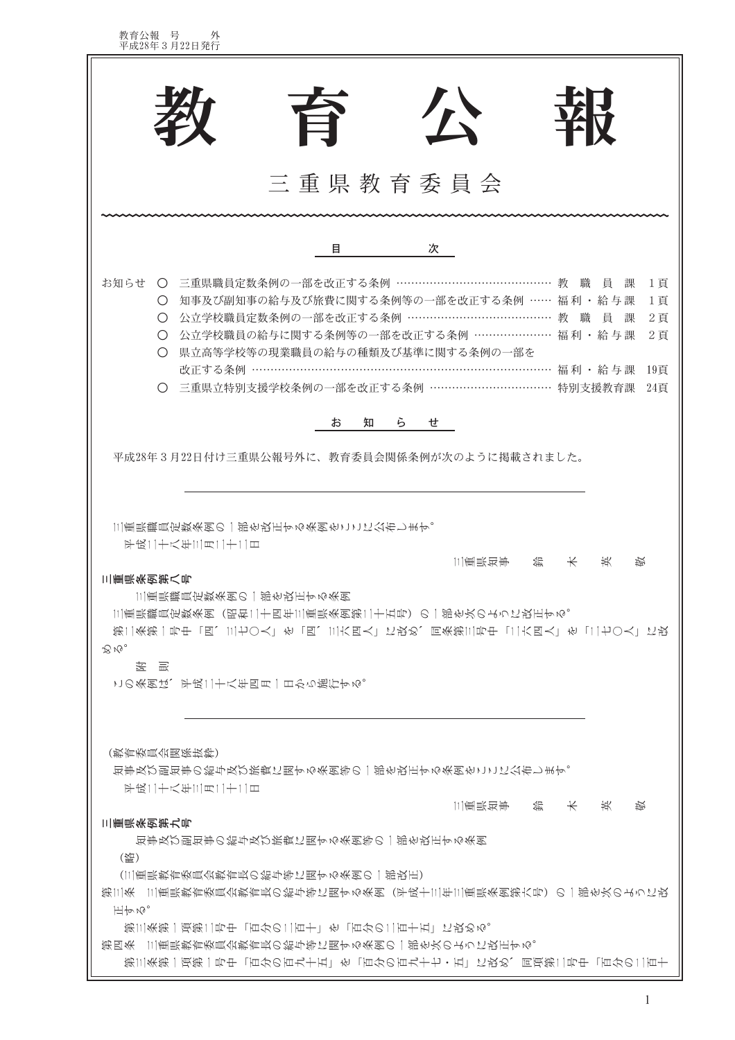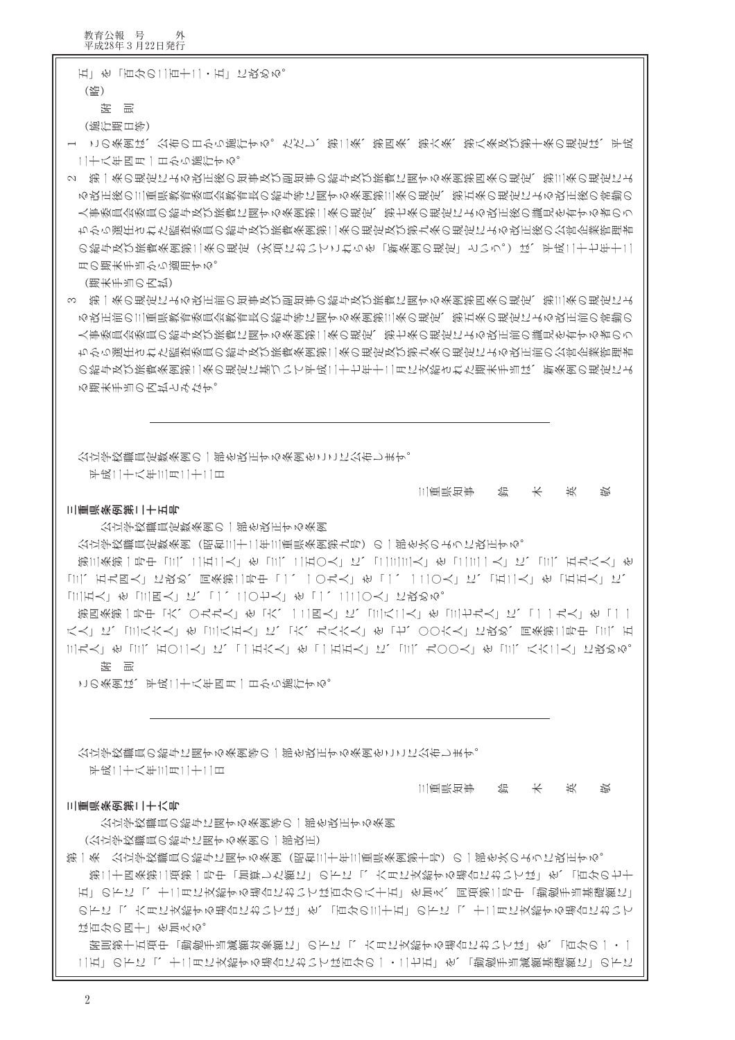の下に「、六月に支給する場合においては」を、「百分の三十五」の下に「、十二月に支給する場合において は百分の四十二を加える。 附則第十五項中「勤勉手当減額対象額に」の下に「、六月に支給する場合においては」を、「百分の一・一 二五」の下に「、十二月に支給する場合においては百分の一・二七五」を、「勤勉手当減額基礎額に」の下に

第一条 公立学校職員の給与に関する条例(昭和三十年三重県条例第十号)の一部を次のように改正する。 第二十四条第二項第一号中「加算した額に」の下に「、六月に支給する場合においては」を、「百分の七十 五」の下に「、十二月に支給する場合においては百分の八十五」を加え、同項第二号中「勤勉手当基礎額に」

(公立学校職員の給与に関する条例の一部改正)

公立学校職員の給与に関する条列等の一部を改正する条列

三重県条例第二十六号

鈴木英 三重県知事 琰

平成二十八年三月二十二日

公立学校職員の給与に関する条例等の一部を改正する条例をここに公布します。

この条例は、平成二十八年四月一日から施行する。

「三五人」を「三四人」に、「一、二〇七人」を「一、二二〇人」に改める。 第四条第一号中「六、〇九九人」を「六、一二四人」に、「三八二人」を「三七九人」に、「一一九人」を「一一 八人」に、「三八六人」を「三八五人」に、「六、九八六人」を「七、○○六人」に改め、同条第二号中「三、五 三九人二を「三、五〇二人」に、「一五六人」を「一五五人」に、「三、九〇〇人」を「三、八六二人」に改める。

公立学校職員定数条例(昭和三十二年三重県条例第九号)の一部を次のように改正する。 第三条第一号中「三、二五二人」を「三、二五〇人」に、「二三三人」を「二三一人」に、「三、五九八人」を 「三、五九四人」に玖め、同条第二号中「一、一〇九人」を「一、一二〇人」に、「五二人」を「五五人」に、

三重県条例第二十五号 公立学校職員定数条例の一部を改正する条例 三重県知事 鈴 木 英 崁

公立学校職員定数条列の一部を改正する条列をここに公布します。 平成二十八年三月二十二日

る期末手当の内払とみなす。

(期末手当の内払) 3 第一条の規定による改正前の知事及び副知事の給与及び旅費に関する条例第四条の規定、第三条の規定によ る改正前の三重県教育委員会教育長の給与等に関する条例第三条の規定、第五条の規定による改正前の常勤の 人事委員会委員の給与及び旅費に関する条例第二条の規定、第七条の規定による改正前の識見を有する者のう ちから選任された監査委員の給与及び旅費条例第二条の規定及び第九条の規定による改正前の公営企業管理者 の給与及び旅費条例第二条の規定に基づいて平成二十七年十二月に支給された期末手当は、新条例の規定によ

月の期末手当から適用する。

2 第一条の規定による改正後の知事及び副知事の給与及び旅費に関する条例第四条の規定、第三条の規定によ る改正後の三重県教育委員会教育長の給与等に関する条例第三条の規定、第五条の規定による改正後の常勤の 人事委員会委員の給与及び旅費に関する条例第二条の規定、第七条の規定による改正後の識見を有する者のう |ちから選任された監査委員の給与及び旅費条例第二条の規定及び第九条の規定による改正後の公営企業管理者 の給与及び旅費条例第二条の規定(次項においてこれらを「新条例の規定」という。)は、平成二十七年十二

(施行期日等) 1」この条例は、公布の日から施行する。ただし、第二条、第四条、第六条、第八条及び第十条の規定は、平成 二十八年四月一日から施行する。

教育公報 号 外<br>平成28年3月22日発行

 $(\frac{1}{2})$ 

化 图

五二を「百分の二百十二・五」に改める。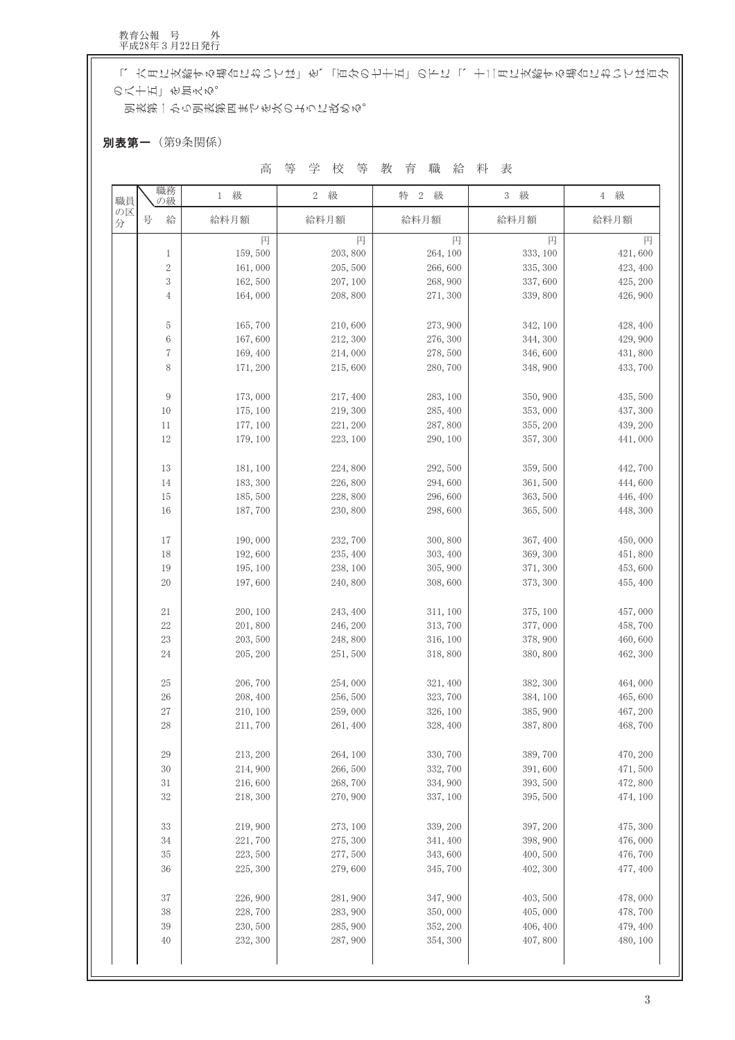「、六月に支給する場合においては」を、「百分の七十五」の下に「、十二月に支給する場合においては百分 の八十五」を加える。

別表第一から別表第四までを次のように改める。

別表第一(第9条関係)

高等学校等教育職給料表

| 職員      | 職務<br>の級         | 1 級                  | 級<br>$\,2$         | $\sqrt{2}$<br>級<br>特 | $\sqrt{3}$<br>級      | 4 級                 |
|---------|------------------|----------------------|--------------------|----------------------|----------------------|---------------------|
| の区<br>分 | 号<br>給           | 給料月額                 | 給料月額               | 給料月額                 | 給料月額                 | 給料月額                |
|         |                  | 円                    | 円                  | 円                    | 円                    | 円                   |
|         | 1                | 159,500              | 203, 800           | 264, 100             | 333, 100             | 421,600             |
|         | $\boldsymbol{2}$ | 161,000              | 205, 500           | 266,600              | 335, 300             | 423, 400            |
|         | 3                | 162,500              | 207, 100           | 268, 900             | 337,600              | 425, 200            |
|         | 4                | 164,000              | 208, 800           | 271,300              | 339,800              | 426, 900            |
|         | 5                | 165,700              | 210,600            | 273,900              | 342, 100             | 428, 400            |
|         | 6                | 167,600              | 212, 300           | 276, 300             | 344, 300             | 429,900             |
|         | 7                | 169,400              | 214,000            | 278,500              | 346,600              | 431,800             |
|         | 8                | 171, 200             | 215,600            | 280,700              | 348, 900             | 433, 700            |
|         | 9                | 173,000              | 217, 400           | 283, 100             | 350, 900             | 435, 500            |
|         | 10               | 175, 100             | 219, 300           | 285, 400             | 353,000              | 437, 300            |
|         | 11               | 177, 100             | 221, 200           | 287,800              | 355, 200             | 439, 200            |
|         | 12               | 179, 100             | 223, 100           | 290, 100             | 357, 300             | 441,000             |
|         | 13               | 181, 100             | 224,800            | 292, 500             | 359,500              | 442,700             |
|         | 14               | 183, 300             | 226,800            | 294,600              | 361,500              | 444,600             |
|         | 15               | 185,500              | 228,800            | 296,600              | 363, 500             | 446, 400            |
|         | 16               | 187,700              | 230, 800           | 298,600              | 365,500              | 448, 300            |
|         |                  |                      |                    |                      |                      |                     |
|         | 17               | 190,000              | 232,700            | 300, 800             | 367, 400             | 450,000             |
|         | 18               | 192,600              | 235, 400           | 303, 400             | 369, 300             | 451,800             |
|         | 19               | 195, 100             | 238, 100           | 305, 900             | 371, 300             | 453,600             |
|         | 20               | 197,600              | 240,800            | 308,600              | 373, 300             | 455, 400            |
|         | 21               | 200, 100             | 243, 400           | 311, 100             | 375, 100             | 457,000             |
|         | 22               | 201,800              | 246, 200           | 313,700              | 377,000              | 458,700             |
|         | 23               | 203, 500             | 248,800            | 316, 100             | 378, 900             | 460,600             |
|         | 24               | 205, 200             | 251,500            | 318,800              | 380, 800             | 462, 300            |
|         | 25               | 206,700              | 254,000            | 321, 400             | 382, 300             | 464,000             |
|         | 26               | 208, 400             | 256,500            | 323,700              | 384, 100             | 465,600             |
|         | 27               | 210, 100             | 259,000            | 326, 100             | 385, 900             | 467, 200            |
|         | 28               | 211,700              | 261, 400           | 328, 400             | 387,800              | 468,700             |
|         | 29               | 213, 200             | 264, 100           | 330, 700             | 389,700              | 470, 200            |
|         | 30               | 214,900              | 266,500            | 332, 700             | 391,600              | 471,500             |
|         | 31               | 216,600              | 268,700            | 334, 900             | 393, 500             | 472,800             |
|         | 32               | 218, 300             | 270, 900           | 337, 100             | 395, 500             | 474, 100            |
|         |                  |                      |                    |                      |                      |                     |
|         | 33               | 219,900              | 273, 100           | 339, 200             | 397, 200             | 475, 300            |
|         | 34               | 221,700              | 275, 300           | 341, 400             | 398, 900             | 476,000             |
|         | 35<br>36         | 223, 500<br>225, 300 | 277,500<br>279,600 | 343,600<br>345,700   | 400, 500<br>402, 300 | 476,700<br>477, 400 |
|         |                  |                      |                    |                      |                      |                     |
|         | 37               | 226,900              | 281,900            | 347,900              | 403, 500             | 478,000             |
|         | 38               | 228,700              | 283, 900           | 350,000              | 405,000              | 478,700             |
|         | 39               | 230, 500             | 285, 900           | 352, 200             | 406, 400             | 479, 400            |
|         | 40               | 232, 300             | 287, 900           | 354, 300             | 407,800              | 480, 100            |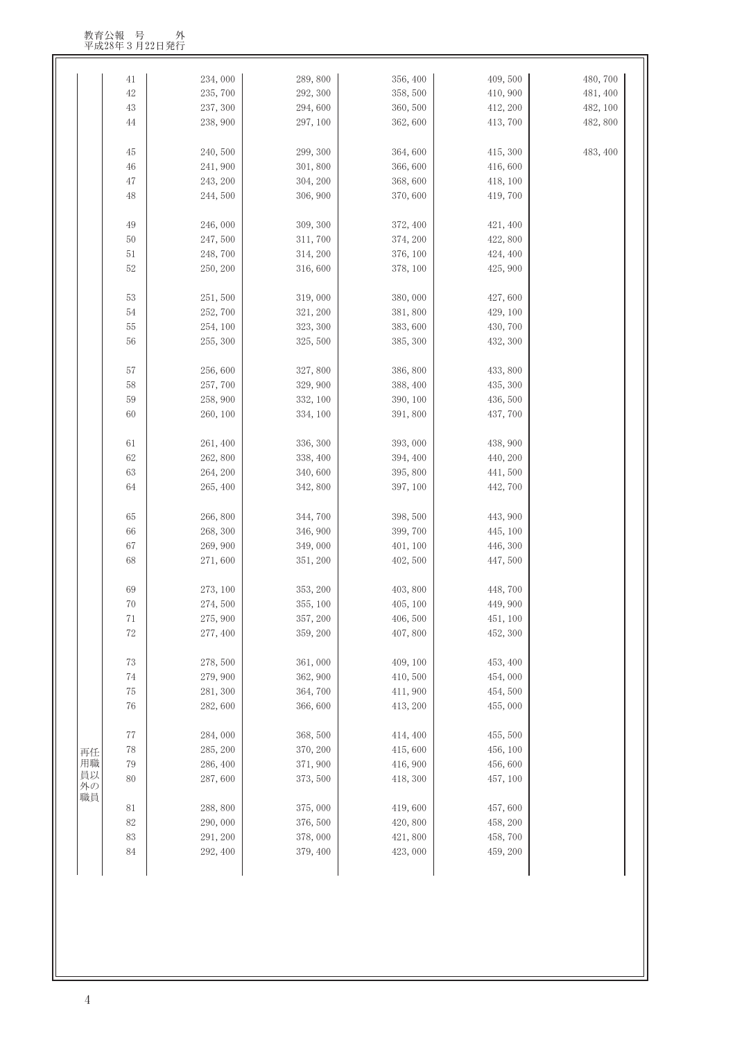|          | 41     | 234,000             | 289,800  | 356, 400            | 409,500  | 480,700  |
|----------|--------|---------------------|----------|---------------------|----------|----------|
|          | 42     | 235,700             | 292, 300 | 358,500             | 410,900  | 481, 400 |
|          | 43     | 237, 300            | 294,600  | 360,500             | 412, 200 | 482, 100 |
|          | 44     | 238,900             | 297, 100 | 362,600             | 413,700  | 482,800  |
|          |        |                     |          |                     |          |          |
|          | 45     | 240,500             | 299, 300 | 364,600             | 415, 300 | 483, 400 |
|          | 46     | 241,900             | 301,800  | 366,600             | 416,600  |          |
|          | 47     | 243, 200            | 304, 200 | 368,600             | 418, 100 |          |
|          | 48     | 244,500             | 306, 900 | 370,600             | 419,700  |          |
|          |        |                     |          |                     |          |          |
|          | 49     | 246,000             | 309, 300 | 372, 400            | 421, 400 |          |
|          | 50     | 247,500             | 311,700  | 374, 200            | 422,800  |          |
|          | $51\,$ | 248,700             | 314, 200 | 376, 100            | 424, 400 |          |
|          | 52     | 250, 200            | 316,600  | 378, 100            | 425, 900 |          |
|          |        |                     |          |                     |          |          |
|          | 53     | 251,500             | 319,000  | 380,000             | 427,600  |          |
|          | 54     | 252,700             | 321, 200 | 381,800             | 429, 100 |          |
|          | 55     | 254, 100            | 323, 300 | 383,600             | 430,700  |          |
|          | 56     | 255, 300            | 325,500  | 385, 300            | 432, 300 |          |
|          |        |                     |          |                     |          |          |
|          | 57     | 256,600             | 327,800  | 386,800             | 433,800  |          |
|          | 58     | 257,700             | 329, 900 | 388, 400            | 435, 300 |          |
|          | 59     | 258,900             | 332, 100 | 390, 100            | 436,500  |          |
|          | 60     | 260, 100            | 334, 100 | 391,800             | 437,700  |          |
|          | 61     | 261, 400            | 336, 300 | 393,000             | 438, 900 |          |
|          | 62     | 262,800             | 338, 400 | 394, 400            | 440, 200 |          |
|          | 63     | 264, 200            | 340,600  | 395, 800            | 441,500  |          |
|          | 64     | 265, 400            | 342,800  | 397, 100            | 442,700  |          |
|          |        |                     |          |                     |          |          |
|          | 65     | 266,800             | 344,700  | 398, 500            | 443,900  |          |
|          | 66     | 268, 300            | 346, 900 | 399, 700            | 445, 100 |          |
|          | 67     | 269,900             | 349,000  | 401, 100            | 446, 300 |          |
|          | 68     | 271,600             | 351, 200 | 402, 500            | 447,500  |          |
|          |        |                     |          |                     |          |          |
|          | 69     | 273, 100            | 353, 200 | 403, 800            | 448,700  |          |
|          | 70     | 274,500             | 355, 100 | 405, 100            | 449, 900 |          |
|          | 71     | 275, 900            | 357, 200 | 406,500             | 451, 100 |          |
|          | 72     | 277, 400            | 359, 200 | 407,800             | 452, 300 |          |
|          |        |                     |          |                     |          |          |
|          | $73\,$ | 278,500             | 361,000  | 409, 100            | 453, 400 |          |
|          | 74     | 279,900             | 362, 900 | 410,500             | 454,000  |          |
|          | $75\,$ | 281, 300            | 364,700  | 411,900             | 454,500  |          |
|          | 76     | 282,600             | 366,600  | 413, 200            | 455,000  |          |
|          | 77     |                     | 368,500  |                     | 455,500  |          |
|          | $78\,$ | 284,000<br>285, 200 | 370, 200 | 414, 400<br>415,600 | 456, 100 |          |
| 再任<br>用職 | 79     | 286, 400            | 371,900  | 416, 900            | 456,600  |          |
| 員以       | 80     | 287,600             |          |                     | 457, 100 |          |
| 外の       |        |                     | 373, 500 | 418, 300            |          |          |
| 職員       | $81\,$ | 288,800             | 375,000  | 419,600             | 457,600  |          |
|          | 82     | 290,000             | 376, 500 | 420, 800            | 458, 200 |          |
|          | 83     | 291, 200            | 378,000  | 421,800             | 458,700  |          |
|          | 84     | 292, 400            | 379, 400 | 423,000             | 459, 200 |          |
|          |        |                     |          |                     |          |          |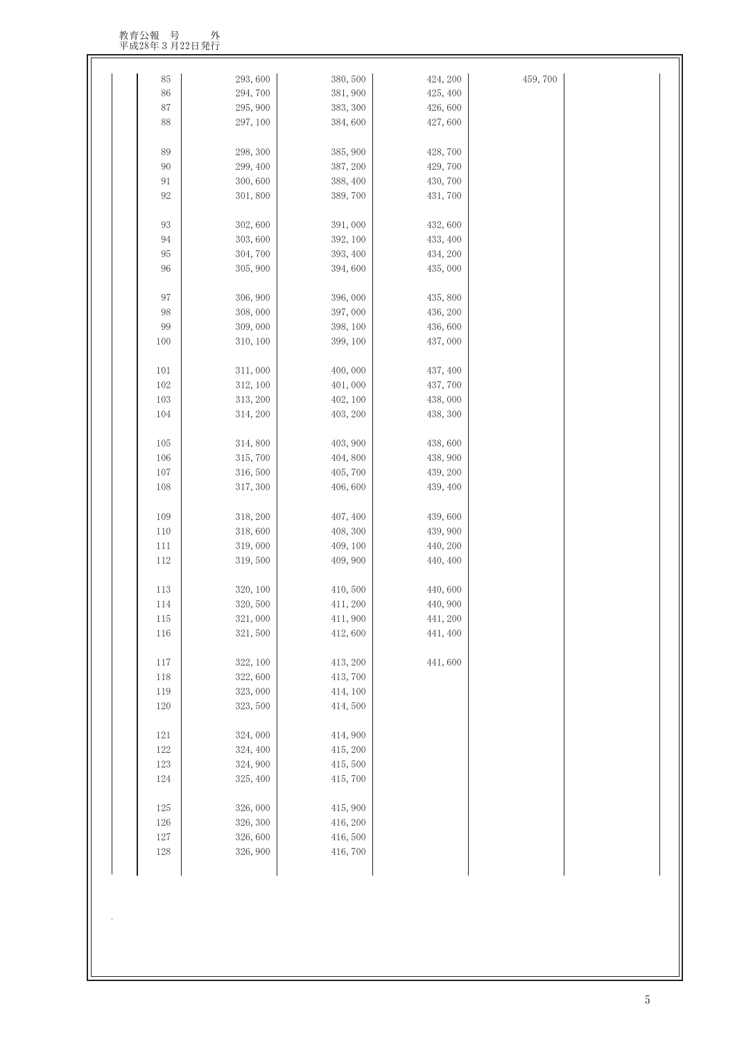教育公報 号 外<br>平成28年3月22日発行

| 85         | 293,600             | 380, 500            | 424, 200 | 459,700 |  |
|------------|---------------------|---------------------|----------|---------|--|
| 86         | 294,700             | 381, 900            | 425, 400 |         |  |
| $87\,$     | 295, 900            | 383, 300            | 426,600  |         |  |
| 88         | 297, 100            | 384,600             | 427,600  |         |  |
| 89         | 298, 300            | 385, 900            | 428,700  |         |  |
| 90         | 299, 400            | 387, 200            | 429,700  |         |  |
| 91         | 300,600             | 388, 400            | 430, 700 |         |  |
| $92\,$     | 301,800             | 389,700             | 431,700  |         |  |
| 93         | 302,600             | 391,000             | 432,600  |         |  |
| 94         | 303,600             | 392, 100            | 433, 400 |         |  |
| $\rm 95$   | 304, 700            | 393, 400            | 434, 200 |         |  |
| 96         | 305, 900            | 394,600             | 435,000  |         |  |
|            |                     |                     |          |         |  |
| 97         | 306, 900            | 396,000             | 435,800  |         |  |
| 98         | 308,000             | 397,000             | 436, 200 |         |  |
| 99         | 309,000             | 398, 100            | 436,600  |         |  |
| 100        | 310, 100            | 399, 100            | 437,000  |         |  |
| 101        | 311,000             | 400,000             | 437, 400 |         |  |
| 102        | 312, 100            | 401,000             | 437,700  |         |  |
| 103        | 313, 200            | 402, 100            | 438,000  |         |  |
| 104        | 314, 200            | 403, 200            | 438, 300 |         |  |
| 105        | 314,800             | 403, 900            | 438,600  |         |  |
| 106        | 315,700             | 404,800             | 438, 900 |         |  |
| 107        | 316,500             | 405,700             | 439, 200 |         |  |
| 108        | 317, 300            | 406,600             | 439, 400 |         |  |
|            |                     |                     |          |         |  |
| 109        | 318, 200            | 407, 400            | 439,600  |         |  |
| 110        | 318,600             | 408, 300            | 439, 900 |         |  |
| 111        | 319,000             | 409, 100            | 440, 200 |         |  |
| 112        | 319,500             | 409, 900            | 440, 400 |         |  |
| 113        | 320, 100            | 410,500             | 440,600  |         |  |
| 114        | 320,500             | 411, 200            | 440, 900 |         |  |
| 115        | 321,000             | 411, 900            | 441, 200 |         |  |
| 116        | 321,500             | 412,600             | 441, 400 |         |  |
| 117        | 322, 100            | 413, 200            | 441,600  |         |  |
| $118\,$    | 322,600             | 413,700             |          |         |  |
| 119        | 323,000             | 414, 100            |          |         |  |
| 120        | 323, 500            | 414,500             |          |         |  |
| 121        | 324,000             | 414,900             |          |         |  |
| $122\,$    | 324, 400            | 415, 200            |          |         |  |
| 123        | 324, 900            | 415,500             |          |         |  |
| 124        | 325, 400            | 415,700             |          |         |  |
|            | 326,000             | 415, 900            |          |         |  |
| 125        |                     |                     |          |         |  |
| 126        | 326, 300            | 416, 200<br>416,500 |          |         |  |
| 127<br>128 | 326,600<br>326, 900 | 416,700             |          |         |  |
|            |                     |                     |          |         |  |

 $\overline{\phantom{0}}$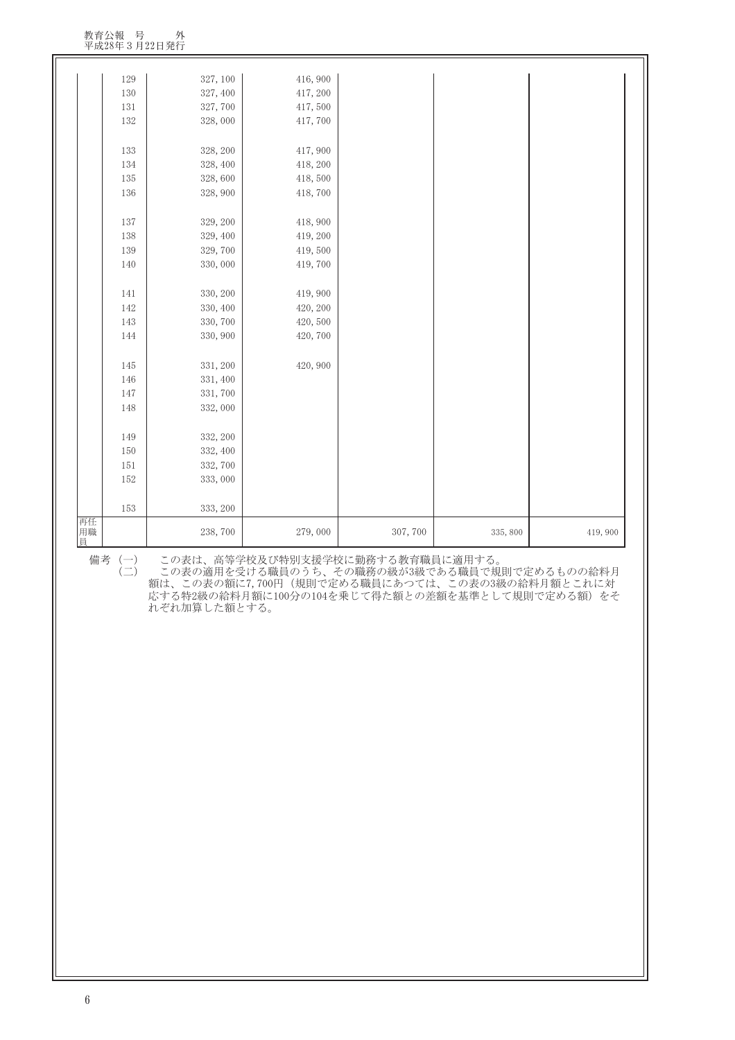| 129<br>327, 100<br>416,900<br>130<br>327, 400<br>417, 200<br>131<br>327,700<br>417,500<br>132<br>328,000<br>417,700<br>133<br>328, 200<br>417,900<br>134<br>328, 400<br>418, 200<br>135<br>328,600<br>418,500<br>136<br>328, 900<br>418,700<br>137<br>418, 900<br>329, 200<br>138<br>329, 400<br>419, 200<br>139<br>329,700<br>419,500<br>330,000<br>140<br>419,700<br>141<br>330, 200<br>419,900<br>142<br>330, 400<br>420, 200<br>143<br>330, 700<br>420,500<br>144<br>330, 900<br>420,700<br>420, 900<br>145<br>331, 200<br>146<br>331, 400<br>147<br>331,700<br>148<br>332,000<br>332, 200<br>149<br>150<br>332, 400<br>151<br>332,700<br>152<br>333,000<br>153<br>333, 200<br>238,700<br>279,000<br>307, 700<br>335, 800<br>419,900 |          |  |  |  |
|------------------------------------------------------------------------------------------------------------------------------------------------------------------------------------------------------------------------------------------------------------------------------------------------------------------------------------------------------------------------------------------------------------------------------------------------------------------------------------------------------------------------------------------------------------------------------------------------------------------------------------------------------------------------------------------------------------------------------------------|----------|--|--|--|
|                                                                                                                                                                                                                                                                                                                                                                                                                                                                                                                                                                                                                                                                                                                                          |          |  |  |  |
|                                                                                                                                                                                                                                                                                                                                                                                                                                                                                                                                                                                                                                                                                                                                          |          |  |  |  |
|                                                                                                                                                                                                                                                                                                                                                                                                                                                                                                                                                                                                                                                                                                                                          |          |  |  |  |
|                                                                                                                                                                                                                                                                                                                                                                                                                                                                                                                                                                                                                                                                                                                                          |          |  |  |  |
|                                                                                                                                                                                                                                                                                                                                                                                                                                                                                                                                                                                                                                                                                                                                          |          |  |  |  |
|                                                                                                                                                                                                                                                                                                                                                                                                                                                                                                                                                                                                                                                                                                                                          |          |  |  |  |
|                                                                                                                                                                                                                                                                                                                                                                                                                                                                                                                                                                                                                                                                                                                                          |          |  |  |  |
|                                                                                                                                                                                                                                                                                                                                                                                                                                                                                                                                                                                                                                                                                                                                          |          |  |  |  |
|                                                                                                                                                                                                                                                                                                                                                                                                                                                                                                                                                                                                                                                                                                                                          |          |  |  |  |
|                                                                                                                                                                                                                                                                                                                                                                                                                                                                                                                                                                                                                                                                                                                                          |          |  |  |  |
|                                                                                                                                                                                                                                                                                                                                                                                                                                                                                                                                                                                                                                                                                                                                          |          |  |  |  |
|                                                                                                                                                                                                                                                                                                                                                                                                                                                                                                                                                                                                                                                                                                                                          |          |  |  |  |
|                                                                                                                                                                                                                                                                                                                                                                                                                                                                                                                                                                                                                                                                                                                                          |          |  |  |  |
|                                                                                                                                                                                                                                                                                                                                                                                                                                                                                                                                                                                                                                                                                                                                          |          |  |  |  |
|                                                                                                                                                                                                                                                                                                                                                                                                                                                                                                                                                                                                                                                                                                                                          |          |  |  |  |
|                                                                                                                                                                                                                                                                                                                                                                                                                                                                                                                                                                                                                                                                                                                                          |          |  |  |  |
|                                                                                                                                                                                                                                                                                                                                                                                                                                                                                                                                                                                                                                                                                                                                          |          |  |  |  |
|                                                                                                                                                                                                                                                                                                                                                                                                                                                                                                                                                                                                                                                                                                                                          |          |  |  |  |
|                                                                                                                                                                                                                                                                                                                                                                                                                                                                                                                                                                                                                                                                                                                                          |          |  |  |  |
|                                                                                                                                                                                                                                                                                                                                                                                                                                                                                                                                                                                                                                                                                                                                          |          |  |  |  |
|                                                                                                                                                                                                                                                                                                                                                                                                                                                                                                                                                                                                                                                                                                                                          |          |  |  |  |
|                                                                                                                                                                                                                                                                                                                                                                                                                                                                                                                                                                                                                                                                                                                                          |          |  |  |  |
|                                                                                                                                                                                                                                                                                                                                                                                                                                                                                                                                                                                                                                                                                                                                          |          |  |  |  |
|                                                                                                                                                                                                                                                                                                                                                                                                                                                                                                                                                                                                                                                                                                                                          |          |  |  |  |
|                                                                                                                                                                                                                                                                                                                                                                                                                                                                                                                                                                                                                                                                                                                                          |          |  |  |  |
|                                                                                                                                                                                                                                                                                                                                                                                                                                                                                                                                                                                                                                                                                                                                          |          |  |  |  |
|                                                                                                                                                                                                                                                                                                                                                                                                                                                                                                                                                                                                                                                                                                                                          |          |  |  |  |
|                                                                                                                                                                                                                                                                                                                                                                                                                                                                                                                                                                                                                                                                                                                                          |          |  |  |  |
|                                                                                                                                                                                                                                                                                                                                                                                                                                                                                                                                                                                                                                                                                                                                          |          |  |  |  |
|                                                                                                                                                                                                                                                                                                                                                                                                                                                                                                                                                                                                                                                                                                                                          |          |  |  |  |
|                                                                                                                                                                                                                                                                                                                                                                                                                                                                                                                                                                                                                                                                                                                                          |          |  |  |  |
|                                                                                                                                                                                                                                                                                                                                                                                                                                                                                                                                                                                                                                                                                                                                          | 再任<br>用職 |  |  |  |
|                                                                                                                                                                                                                                                                                                                                                                                                                                                                                                                                                                                                                                                                                                                                          | 員        |  |  |  |

備考(一) この表は、高等学校及び特別支援学校に勤務する教育職員に適用する。

 $(\rightrightarrows)$ この表の適用を受ける職員のうち、その職務の級が3級である職員で規則で定めるものの給料月 額は、この表の額に7,700円(規則で定める職員にあつては、この表の3級の給料月額とこれに対 応する特2級の給料月額に100分の104を乗じて得た額との差額を基準として規則で定める額)をそ れぞれ加算した額とする。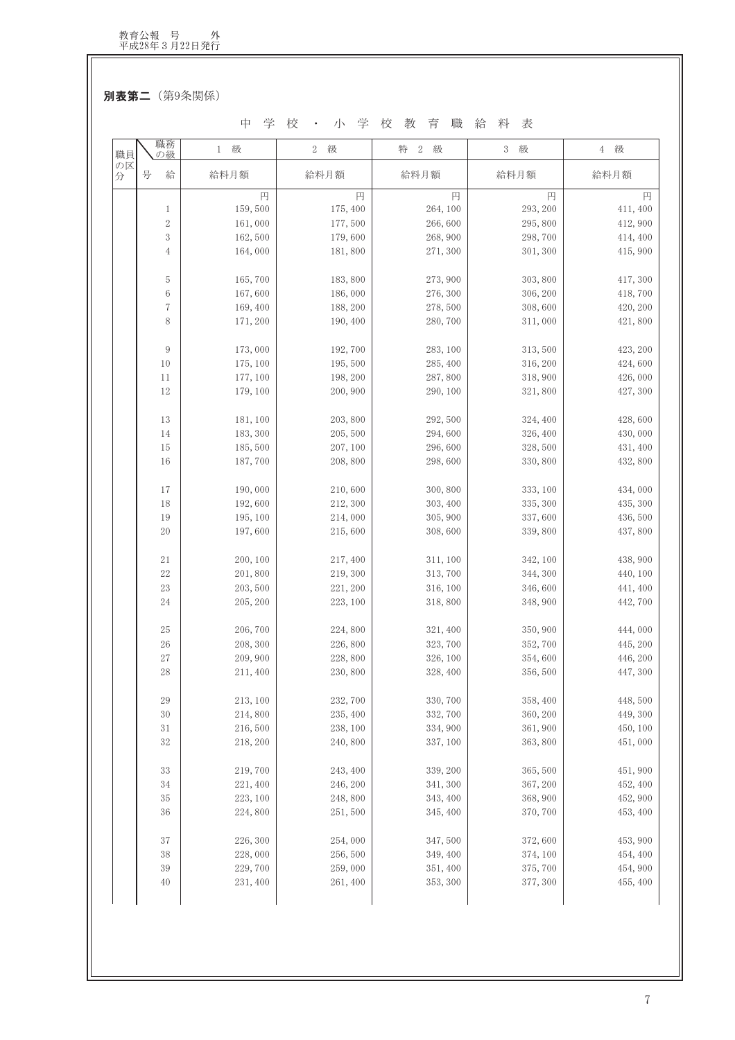別表第二 (第9条関係)

中学校 · 小学校教育職給料表

| 職員      | 職務<br>の級   | 級<br>1   | 2 級      | 特<br>2 級 | 3 級      | 4 級      |
|---------|------------|----------|----------|----------|----------|----------|
| の区<br>分 | 号<br>給     | 給料月額     | 給料月額     | 給料月額     | 給料月額     | 給料月額     |
|         |            | 円        | 円        | 円        | 円        | 円        |
|         | 1          | 159,500  | 175, 400 | 264, 100 | 293, 200 | 411,400  |
|         | $\sqrt{2}$ | 161,000  | 177,500  | 266,600  | 295,800  | 412,900  |
|         | 3          | 162,500  | 179,600  | 268, 900 | 298,700  | 414, 400 |
|         | 4          | 164,000  | 181,800  | 271, 300 | 301, 300 | 415,900  |
|         | 5          | 165,700  | 183,800  | 273, 900 | 303, 800 | 417,300  |
|         | 6          | 167,600  | 186,000  | 276, 300 | 306, 200 | 418,700  |
|         | $\sqrt{7}$ | 169,400  | 188, 200 | 278,500  | 308,600  | 420, 200 |
|         | 8          | 171, 200 | 190, 400 | 280,700  | 311,000  | 421,800  |
|         | 9          | 173,000  | 192,700  | 283, 100 | 313,500  | 423, 200 |
|         | 10         | 175, 100 | 195,500  | 285, 400 | 316, 200 | 424,600  |
|         | 11         | 177, 100 | 198, 200 | 287,800  | 318,900  | 426,000  |
|         | 12         | 179, 100 | 200, 900 | 290, 100 | 321,800  | 427, 300 |
|         | 13         | 181, 100 | 203,800  | 292, 500 | 324, 400 | 428,600  |
|         | 14         | 183, 300 | 205,500  | 294,600  | 326, 400 | 430,000  |
|         | 15         | 185,500  | 207, 100 | 296,600  | 328,500  | 431, 400 |
|         | 16         | 187,700  | 208,800  | 298,600  | 330, 800 | 432,800  |
|         | 17         | 190,000  | 210,600  | 300, 800 | 333, 100 | 434,000  |
|         | 18         | 192,600  | 212, 300 | 303, 400 | 335, 300 | 435, 300 |
|         | 19         | 195, 100 | 214,000  | 305, 900 | 337,600  | 436,500  |
|         | 20         | 197,600  | 215,600  | 308,600  | 339,800  | 437,800  |
|         | 21         | 200, 100 | 217,400  | 311, 100 | 342, 100 | 438,900  |
|         | 22         | 201,800  | 219, 300 | 313, 700 | 344, 300 | 440, 100 |
|         | $23\,$     | 203, 500 | 221, 200 | 316, 100 | 346,600  | 441, 400 |
|         | 24         | 205, 200 | 223, 100 | 318,800  | 348, 900 | 442,700  |
|         | 25         | 206,700  | 224,800  | 321, 400 | 350, 900 | 444,000  |
|         | 26         | 208, 300 | 226,800  | 323, 700 | 352,700  | 445, 200 |
|         | $27\,$     | 209, 900 | 228,800  | 326, 100 | 354,600  | 446, 200 |
|         | 28         | 211,400  | 230,800  | 328, 400 | 356, 500 | 447, 300 |
|         | $\rm 29$   | 213, 100 | 232,700  | 330, 700 | 358, 400 | 448,500  |
|         | $30\,$     | 214,800  | 235, 400 | 332, 700 | 360, 200 | 449, 300 |
|         | 31         | 216,500  | 238, 100 | 334, 900 | 361, 900 | 450, 100 |
|         | $32\,$     | 218, 200 | 240,800  | 337, 100 | 363, 800 | 451,000  |
|         |            |          |          |          |          |          |
|         | $33\,$     | 219,700  | 243, 400 | 339, 200 | 365, 500 | 451,900  |
|         | 34         | 221, 400 | 246, 200 | 341, 300 | 367, 200 | 452, 400 |
|         | 35         | 223, 100 | 248,800  | 343, 400 | 368, 900 | 452, 900 |
|         | 36         | 224,800  | 251,500  | 345, 400 | 370, 700 | 453, 400 |
|         | 37         | 226, 300 | 254,000  | 347,500  | 372,600  | 453, 900 |
|         | $38\,$     | 228,000  | 256,500  | 349, 400 | 374, 100 | 454, 400 |
|         | 39         | 229,700  | 259,000  | 351, 400 | 375,700  | 454, 900 |
|         | 40         | 231, 400 | 261, 400 | 353, 300 | 377, 300 | 455, 400 |
|         |            |          |          |          |          |          |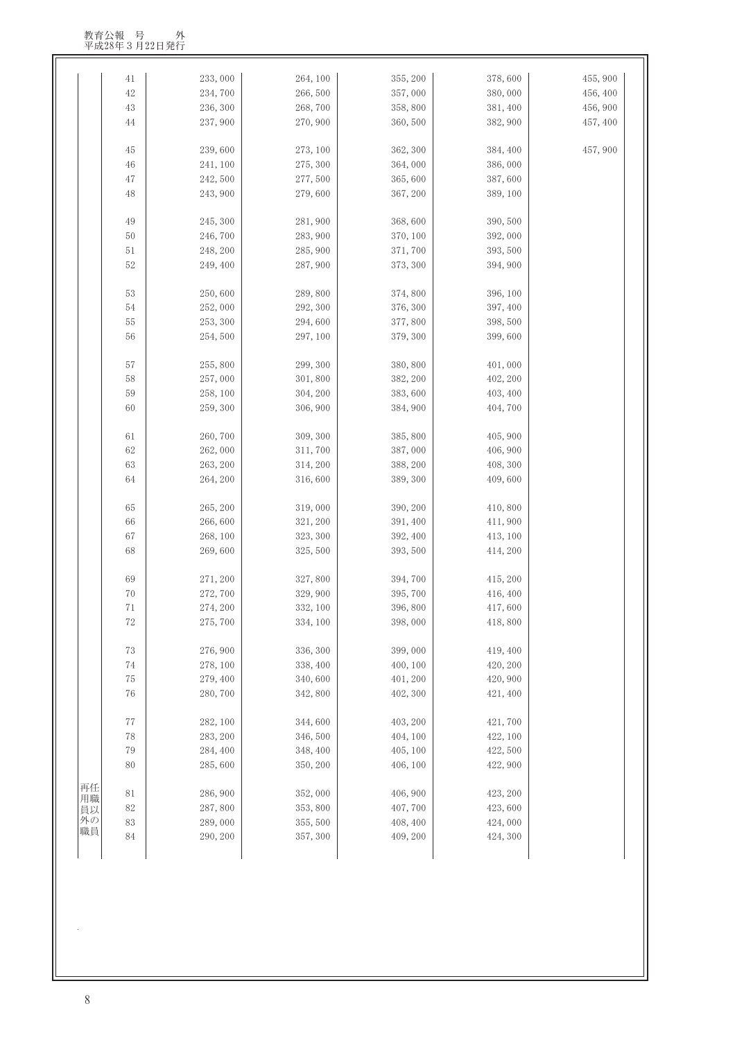|          | 41          | 233,000  | 264, 100 | 355, 200 | 378,600  | 455, 900 |
|----------|-------------|----------|----------|----------|----------|----------|
|          | $42\,$      | 234,700  | 266,500  | 357,000  | 380,000  | 456, 400 |
|          | 43          | 236, 300 | 268,700  | 358,800  | 381, 400 | 456, 900 |
|          | 44          | 237, 900 | 270,900  | 360, 500 | 382, 900 | 457, 400 |
|          |             |          |          |          |          |          |
|          | 45          | 239,600  | 273, 100 | 362, 300 | 384, 400 | 457,900  |
|          | 46          | 241, 100 | 275, 300 | 364,000  | 386,000  |          |
|          | 47          | 242,500  | 277,500  | 365,600  | 387,600  |          |
|          | 48          | 243,900  | 279,600  | 367, 200 | 389, 100 |          |
|          |             |          |          |          |          |          |
|          | 49          | 245, 300 | 281,900  | 368,600  | 390, 500 |          |
|          | 50          | 246,700  | 283, 900 | 370, 100 | 392,000  |          |
|          | $51\,$      | 248, 200 | 285, 900 | 371,700  | 393, 500 |          |
|          | 52          | 249, 400 | 287,900  | 373, 300 | 394, 900 |          |
|          |             |          |          |          |          |          |
|          | 53          | 250,600  | 289,800  | 374,800  | 396, 100 |          |
|          | 54          | 252,000  | 292, 300 | 376, 300 | 397, 400 |          |
|          | $55\,$      | 253, 300 | 294,600  | 377,800  | 398, 500 |          |
|          | 56          | 254,500  | 297, 100 | 379, 300 | 399,600  |          |
|          |             |          |          |          |          |          |
|          | 57          | 255,800  | 299, 300 | 380,800  | 401,000  |          |
|          | 58          | 257,000  | 301,800  | 382, 200 | 402, 200 |          |
|          | 59          | 258, 100 | 304, 200 | 383,600  | 403, 400 |          |
|          | 60          | 259, 300 | 306, 900 | 384, 900 | 404,700  |          |
|          | 61          | 260,700  | 309, 300 | 385, 800 | 405, 900 |          |
|          | 62          | 262,000  | 311,700  | 387,000  | 406, 900 |          |
|          | 63          | 263, 200 | 314, 200 | 388, 200 | 408, 300 |          |
|          | 64          | 264, 200 | 316,600  | 389, 300 | 409,600  |          |
|          |             |          |          |          |          |          |
|          | 65          | 265, 200 | 319,000  | 390, 200 | 410,800  |          |
|          | 66          | 266,600  | 321, 200 | 391, 400 | 411,900  |          |
|          | $67\,$      | 268, 100 | 323, 300 | 392, 400 | 413, 100 |          |
|          | 68          | 269,600  | 325, 500 | 393, 500 | 414, 200 |          |
|          |             |          |          |          |          |          |
|          | 69          | 271, 200 | 327,800  | 394,700  | 415, 200 |          |
|          | 70          | 272,700  | 329,900  | 395,700  | 416, 400 |          |
|          | $7\sqrt{1}$ | 274, 200 | 332, 100 | 396,800  | 417,600  |          |
|          | 72          | 275, 700 | 334, 100 | 398,000  | 418,800  |          |
|          |             |          |          |          |          |          |
|          | 73          | 276, 900 | 336, 300 | 399,000  | 419, 400 |          |
|          | 74          | 278, 100 | 338, 400 | 400, 100 | 420, 200 |          |
|          | 75          | 279, 400 | 340,600  | 401, 200 | 420, 900 |          |
|          | 76          | 280,700  | 342,800  | 402, 300 | 421, 400 |          |
|          | 77          | 282, 100 | 344,600  | 403, 200 | 421,700  |          |
|          | 78          | 283, 200 | 346,500  | 404, 100 | 422, 100 |          |
|          | 79          | 284, 400 | 348, 400 | 405, 100 | 422, 500 |          |
|          | 80          | 285,600  | 350, 200 | 406, 100 | 422, 900 |          |
|          |             |          |          |          |          |          |
| 再任<br>用職 | 81          | 286,900  | 352,000  | 406, 900 | 423, 200 |          |
| 員以       | 82          | 287,800  | 353,800  | 407,700  | 423,600  |          |
|          | 83          | 289,000  | 355, 500 | 408, 400 | 424,000  |          |
| 外の<br>職員 |             |          |          |          |          |          |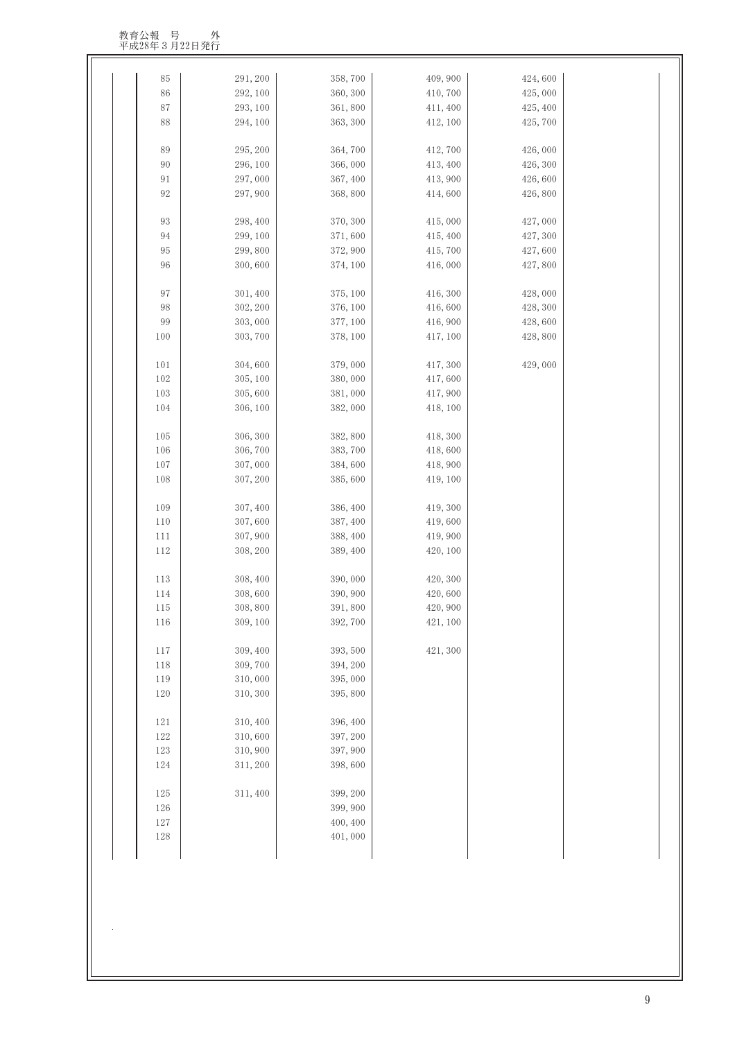教育公報 号 外<br>平成28年3月22日発行

| 291, 200 | 358,700                                                                                                                                                                                                                                                  | 409, 900                                                                                                                                                                                                                                        | 424,600                                                                                                                                                                                            |                                                                                                    |
|----------|----------------------------------------------------------------------------------------------------------------------------------------------------------------------------------------------------------------------------------------------------------|-------------------------------------------------------------------------------------------------------------------------------------------------------------------------------------------------------------------------------------------------|----------------------------------------------------------------------------------------------------------------------------------------------------------------------------------------------------|----------------------------------------------------------------------------------------------------|
| 292, 100 | 360, 300                                                                                                                                                                                                                                                 | 410,700                                                                                                                                                                                                                                         | 425,000                                                                                                                                                                                            |                                                                                                    |
| 293, 100 | 361,800                                                                                                                                                                                                                                                  | 411, 400                                                                                                                                                                                                                                        | 425, 400                                                                                                                                                                                           |                                                                                                    |
| 294, 100 | 363, 300                                                                                                                                                                                                                                                 | 412, 100                                                                                                                                                                                                                                        | 425,700                                                                                                                                                                                            |                                                                                                    |
| 295, 200 | 364,700                                                                                                                                                                                                                                                  | 412,700                                                                                                                                                                                                                                         | 426,000                                                                                                                                                                                            |                                                                                                    |
|          |                                                                                                                                                                                                                                                          |                                                                                                                                                                                                                                                 |                                                                                                                                                                                                    |                                                                                                    |
|          |                                                                                                                                                                                                                                                          |                                                                                                                                                                                                                                                 |                                                                                                                                                                                                    |                                                                                                    |
| 297, 900 | 368,800                                                                                                                                                                                                                                                  | 414,600                                                                                                                                                                                                                                         | 426,800                                                                                                                                                                                            |                                                                                                    |
|          |                                                                                                                                                                                                                                                          |                                                                                                                                                                                                                                                 |                                                                                                                                                                                                    |                                                                                                    |
|          |                                                                                                                                                                                                                                                          |                                                                                                                                                                                                                                                 |                                                                                                                                                                                                    |                                                                                                    |
|          |                                                                                                                                                                                                                                                          |                                                                                                                                                                                                                                                 |                                                                                                                                                                                                    |                                                                                                    |
|          |                                                                                                                                                                                                                                                          |                                                                                                                                                                                                                                                 |                                                                                                                                                                                                    |                                                                                                    |
|          |                                                                                                                                                                                                                                                          |                                                                                                                                                                                                                                                 |                                                                                                                                                                                                    |                                                                                                    |
| 301, 400 | 375, 100                                                                                                                                                                                                                                                 | 416, 300                                                                                                                                                                                                                                        | 428,000                                                                                                                                                                                            |                                                                                                    |
|          |                                                                                                                                                                                                                                                          |                                                                                                                                                                                                                                                 |                                                                                                                                                                                                    |                                                                                                    |
|          |                                                                                                                                                                                                                                                          |                                                                                                                                                                                                                                                 |                                                                                                                                                                                                    |                                                                                                    |
| 303, 700 | 378, 100                                                                                                                                                                                                                                                 |                                                                                                                                                                                                                                                 | 428,800                                                                                                                                                                                            |                                                                                                    |
|          | 379,000                                                                                                                                                                                                                                                  |                                                                                                                                                                                                                                                 |                                                                                                                                                                                                    |                                                                                                    |
|          |                                                                                                                                                                                                                                                          |                                                                                                                                                                                                                                                 |                                                                                                                                                                                                    |                                                                                                    |
|          |                                                                                                                                                                                                                                                          |                                                                                                                                                                                                                                                 |                                                                                                                                                                                                    |                                                                                                    |
| 306, 100 | 382,000                                                                                                                                                                                                                                                  | 418, 100                                                                                                                                                                                                                                        |                                                                                                                                                                                                    |                                                                                                    |
|          |                                                                                                                                                                                                                                                          |                                                                                                                                                                                                                                                 |                                                                                                                                                                                                    |                                                                                                    |
|          |                                                                                                                                                                                                                                                          |                                                                                                                                                                                                                                                 |                                                                                                                                                                                                    |                                                                                                    |
|          |                                                                                                                                                                                                                                                          |                                                                                                                                                                                                                                                 |                                                                                                                                                                                                    |                                                                                                    |
|          |                                                                                                                                                                                                                                                          |                                                                                                                                                                                                                                                 |                                                                                                                                                                                                    |                                                                                                    |
|          |                                                                                                                                                                                                                                                          |                                                                                                                                                                                                                                                 |                                                                                                                                                                                                    |                                                                                                    |
| 307, 400 | 386, 400                                                                                                                                                                                                                                                 | 419, 300                                                                                                                                                                                                                                        |                                                                                                                                                                                                    |                                                                                                    |
| 307,600  | 387, 400                                                                                                                                                                                                                                                 | 419,600                                                                                                                                                                                                                                         |                                                                                                                                                                                                    |                                                                                                    |
| 307, 900 | 388, 400                                                                                                                                                                                                                                                 | 419,900                                                                                                                                                                                                                                         |                                                                                                                                                                                                    |                                                                                                    |
| 308, 200 | 389, 400                                                                                                                                                                                                                                                 | 420, 100                                                                                                                                                                                                                                        |                                                                                                                                                                                                    |                                                                                                    |
| 308, 400 | 390,000                                                                                                                                                                                                                                                  | 420, 300                                                                                                                                                                                                                                        |                                                                                                                                                                                                    |                                                                                                    |
| 308,600  | 390, 900                                                                                                                                                                                                                                                 | 420,600                                                                                                                                                                                                                                         |                                                                                                                                                                                                    |                                                                                                    |
| 308,800  | 391,800                                                                                                                                                                                                                                                  | 420, 900                                                                                                                                                                                                                                        |                                                                                                                                                                                                    |                                                                                                    |
| 309, 100 | 392,700                                                                                                                                                                                                                                                  | 421, 100                                                                                                                                                                                                                                        |                                                                                                                                                                                                    |                                                                                                    |
|          |                                                                                                                                                                                                                                                          |                                                                                                                                                                                                                                                 |                                                                                                                                                                                                    |                                                                                                    |
|          |                                                                                                                                                                                                                                                          |                                                                                                                                                                                                                                                 |                                                                                                                                                                                                    |                                                                                                    |
|          |                                                                                                                                                                                                                                                          |                                                                                                                                                                                                                                                 |                                                                                                                                                                                                    |                                                                                                    |
| 310, 300 | 395,800                                                                                                                                                                                                                                                  |                                                                                                                                                                                                                                                 |                                                                                                                                                                                                    |                                                                                                    |
|          |                                                                                                                                                                                                                                                          |                                                                                                                                                                                                                                                 |                                                                                                                                                                                                    |                                                                                                    |
|          |                                                                                                                                                                                                                                                          |                                                                                                                                                                                                                                                 |                                                                                                                                                                                                    |                                                                                                    |
|          |                                                                                                                                                                                                                                                          |                                                                                                                                                                                                                                                 |                                                                                                                                                                                                    |                                                                                                    |
|          |                                                                                                                                                                                                                                                          |                                                                                                                                                                                                                                                 |                                                                                                                                                                                                    |                                                                                                    |
|          |                                                                                                                                                                                                                                                          |                                                                                                                                                                                                                                                 |                                                                                                                                                                                                    |                                                                                                    |
| 311, 400 | 399, 200                                                                                                                                                                                                                                                 |                                                                                                                                                                                                                                                 |                                                                                                                                                                                                    |                                                                                                    |
|          | 399, 900                                                                                                                                                                                                                                                 |                                                                                                                                                                                                                                                 |                                                                                                                                                                                                    |                                                                                                    |
|          | 400, 400                                                                                                                                                                                                                                                 |                                                                                                                                                                                                                                                 |                                                                                                                                                                                                    |                                                                                                    |
|          | 401,000                                                                                                                                                                                                                                                  |                                                                                                                                                                                                                                                 |                                                                                                                                                                                                    |                                                                                                    |
|          | 296, 100<br>297,000<br>298, 400<br>299, 100<br>299,800<br>300,600<br>302, 200<br>303,000<br>304,600<br>305, 100<br>305,600<br>306, 300<br>306,700<br>307,000<br>307, 200<br>309, 400<br>309,700<br>310,000<br>310, 400<br>310,600<br>310,900<br>311, 200 | 366,000<br>367, 400<br>370, 300<br>371,600<br>372, 900<br>374, 100<br>376, 100<br>377, 100<br>380,000<br>381,000<br>382, 800<br>383,700<br>384,600<br>385,600<br>393, 500<br>394, 200<br>395,000<br>396, 400<br>397, 200<br>397, 900<br>398,600 | 413, 400<br>413, 900<br>415,000<br>415, 400<br>415,700<br>416,000<br>416,600<br>416, 900<br>417, 100<br>417, 300<br>417,600<br>417, 900<br>418, 300<br>418,600<br>418, 900<br>419, 100<br>421, 300 | 426, 300<br>426,600<br>427,000<br>427, 300<br>427,600<br>427,800<br>428, 300<br>428,600<br>429,000 |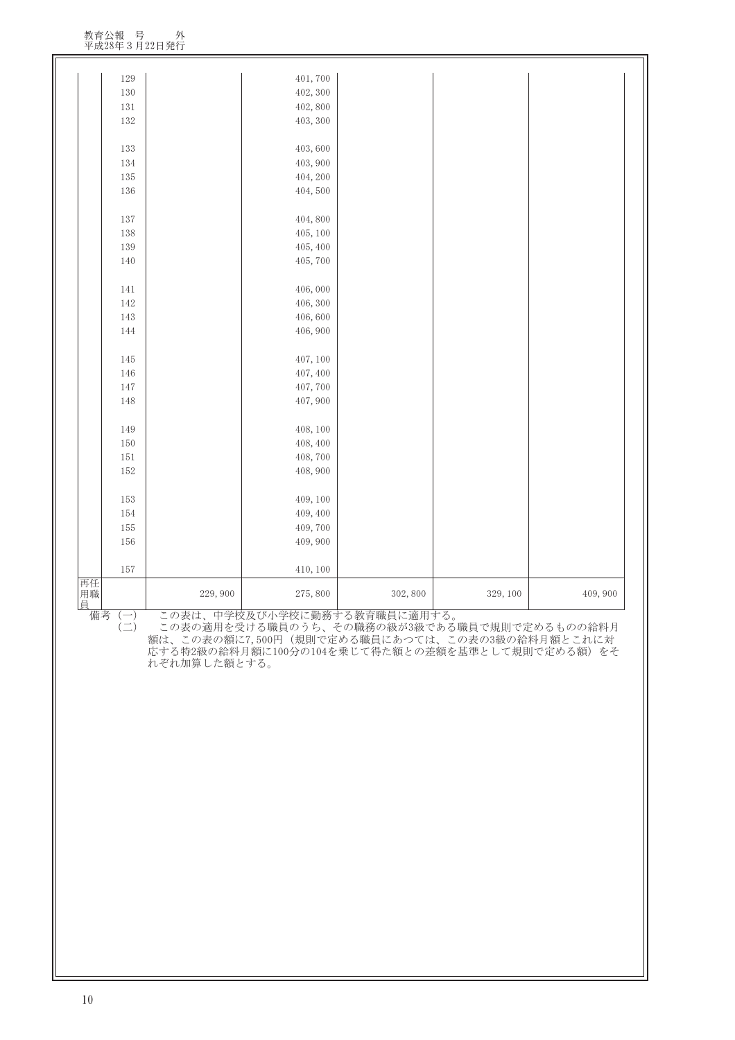| 401,700<br>402, 300<br>402,800<br>403, 300<br>403,600<br>403, 900<br>404, 200<br>404,500<br>404,800                                              | 129<br>130                          |         |
|--------------------------------------------------------------------------------------------------------------------------------------------------|-------------------------------------|---------|
|                                                                                                                                                  |                                     |         |
|                                                                                                                                                  |                                     |         |
|                                                                                                                                                  |                                     |         |
|                                                                                                                                                  |                                     | 131     |
|                                                                                                                                                  | 132                                 |         |
|                                                                                                                                                  |                                     |         |
|                                                                                                                                                  | 133                                 |         |
|                                                                                                                                                  | 134                                 |         |
|                                                                                                                                                  | 135                                 |         |
|                                                                                                                                                  | 136                                 |         |
|                                                                                                                                                  |                                     |         |
|                                                                                                                                                  | 137                                 |         |
| 405, 100                                                                                                                                         | 138                                 |         |
| 405, 400                                                                                                                                         | 139                                 |         |
| 405,700                                                                                                                                          | 140                                 |         |
|                                                                                                                                                  |                                     |         |
| 406,000                                                                                                                                          | 141                                 |         |
| 406, 300                                                                                                                                         | 142                                 |         |
| 406,600<br>406, 900                                                                                                                              | 143                                 |         |
|                                                                                                                                                  | 144                                 |         |
| 407, 100                                                                                                                                         |                                     |         |
| 407, 400                                                                                                                                         | 145<br>146                          |         |
| 407,700                                                                                                                                          | $147\,$                             |         |
| 407, 900                                                                                                                                         | 148                                 |         |
|                                                                                                                                                  |                                     |         |
| 408, 100                                                                                                                                         | 149                                 |         |
| 408, 400                                                                                                                                         | 150                                 |         |
| 408,700                                                                                                                                          | 151                                 |         |
| 408, 900                                                                                                                                         | 152                                 |         |
|                                                                                                                                                  |                                     |         |
| 409, 100                                                                                                                                         | 153                                 |         |
| 409, 400                                                                                                                                         | 154                                 |         |
| 409,700                                                                                                                                          | 155                                 |         |
| 409, 900                                                                                                                                         | 156                                 |         |
|                                                                                                                                                  |                                     |         |
| 410, 100                                                                                                                                         | 157                                 |         |
|                                                                                                                                                  |                                     | 再任用     |
| 229,900<br>275,800<br>302,800<br>329, 100<br>409, 900                                                                                            |                                     |         |
| この表は、中学校及び小学校に勤務する教育職員に適用する。                                                                                                                     | $(-)$                               | 員<br>備考 |
| この表の適用を受ける職員のうち、その職務の級が3級である職員で規則で定めるものの給料月<br>額は、この表の額に7,500円(規則で定める職員にあつては、この表の3級の給料月額とこれに対<br>応する特2級の給料月額に100分の104を乗じて得た額との差額を基準として規則で定める額)をそ | $(\rightharpoonup)$<br>れぞれ加算した額とする。 |         |

#### 教育公報 号 外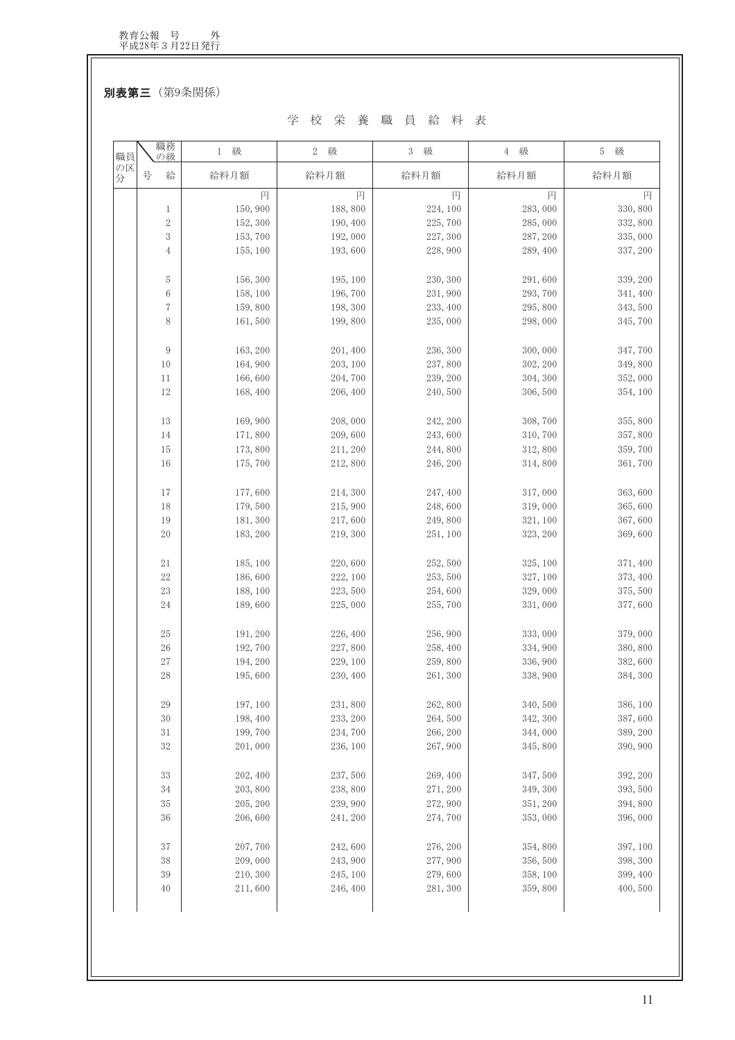別表第三 (第9条関係)

#### 学校栄養職員給料表

| 職員<br>の区 | 職務<br>の級       | 級<br>1              | 級<br>$\,2$          | 級<br>3               | 級<br>$4\overline{ }$ | 級<br>5              |
|----------|----------------|---------------------|---------------------|----------------------|----------------------|---------------------|
| 分        | 号<br>給         | 給料月額                | 給料月額                | 給料月額                 | 給料月額                 | 給料月額                |
|          |                | 円                   | 円                   | 円                    | 円                    | 円                   |
|          | 1              | 150,900             | 188,800             | 224, 100             | 283,000              | 330,800             |
|          | $\sqrt{2}$     | 152,300             | 190, 400            | 225, 700             | 285,000              | 332,800             |
|          | $\,3$          | 153,700             | 192,000             | 227, 300             | 287, 200             | 335,000             |
|          | $\overline{4}$ | 155, 100            | 193,600             | 228, 900             | 289, 400             | 337, 200            |
|          | 5              | 156, 300            | 195, 100            | 230, 300             | 291,600              | 339, 200            |
|          | 6              | 158, 100            | 196,700             | 231,900              | 293,700              | 341, 400            |
|          | $\sqrt{ }$     | 159,800             | 198, 300            | 233, 400             | 295,800              | 343,500             |
|          | 8              | 161,500             | 199,800             | 235,000              | 298,000              | 345,700             |
|          | 9              | 163, 200            | 201, 400            | 236, 300             | 300,000              | 347,700             |
|          | 10             | 164,900             | 203, 100            | 237,800              | 302, 200             | 349,800             |
|          | 11             | 166,600             | 204, 700            | 239, 200             | 304, 300             | 352,000             |
|          | 12             | 168,400             | 206, 400            | 240, 500             | 306,500              | 354, 100            |
|          | 13             | 169,900             | 208,000             | 242, 200             | 308,700              | 355,800             |
|          | 14             | 171,800             | 209,600             | 243,600              | 310,700              | 357,800             |
|          | 15             | 173,800             | 211, 200            | 244,800              | 312,800              | 359,700             |
|          | 16             | 175, 700            | 212,800             | 246, 200             | 314,800              | 361,700             |
|          | 17             | 177,600             | 214, 300            | 247, 400             | 317,000              | 363,600             |
|          | 18             | 179,500             | 215, 900            | 248,600              | 319,000              | 365,600             |
|          | 19             | 181, 300            | 217,600             | 249,800              | 321, 100             | 367,600             |
|          | 20             | 183, 200            | 219, 300            | 251, 100             | 323, 200             | 369,600             |
|          | 21             | 185, 100            | 220,600             | 252,500              | 325, 100             | 371, 400            |
|          | $22\,$         | 186,600             | 222, 100            | 253, 500             | 327, 100             | 373, 400            |
|          | 23             | 188, 100            | 223, 500            | 254,600              | 329,000              | 375,500             |
|          | 24             | 189,600             | 225,000             | 255,700              | 331,000              | 377,600             |
|          | 25             | 191, 200            | 226, 400            | 256,900              | 333,000              | 379,000             |
|          | 26             | 192,700             | 227,800             | 258, 400             | 334, 900             | 380,800             |
|          | 27             | 194, 200            | 229, 100            | 259,800              | 336, 900             | 382,600             |
|          | 28             | 195,600             | 230, 400            | 261, 300             | 338,900              | 384, 300            |
|          | $\rm 29$       | 197, 100            | 231,800             | 262,800              | 340,500              | 386, 100            |
|          | 30             | 198, 400            | 233, 200            | 264,500              | 342, 300             | 387,600             |
|          | $3\sqrt{1}$    | 199,700             | 234,700             | 266, 200             | 344,000              | 389, 200            |
|          | 32             | 201,000             | 236, 100            | 267, 900             | 345,800              | 390, 900            |
|          | 33             |                     |                     |                      |                      |                     |
|          | 34             | 202, 400<br>203,800 | 237,500<br>238, 800 | 269, 400<br>271, 200 | 347,500<br>349, 300  | 392, 200<br>393,500 |
|          | 35             | 205, 200            | 239, 900            | 272, 900             | 351, 200             | 394,800             |
|          | 36             | 206,600             | 241, 200            | 274,700              | 353,000              | 396,000             |
|          | 37             | 207, 700            | 242,600             | 276, 200             | 354,800              | 397, 100            |
|          | 38             | 209,000             | 243, 900            | 277,900              | 356, 500             | 398, 300            |
|          | 39             | 210, 300            | 245, 100            | 279,600              | 358, 100             | 399, 400            |
|          | 40             | 211,600             | 246, 400            | 281, 300             | 359,800              | 400,500             |
|          |                |                     |                     |                      |                      |                     |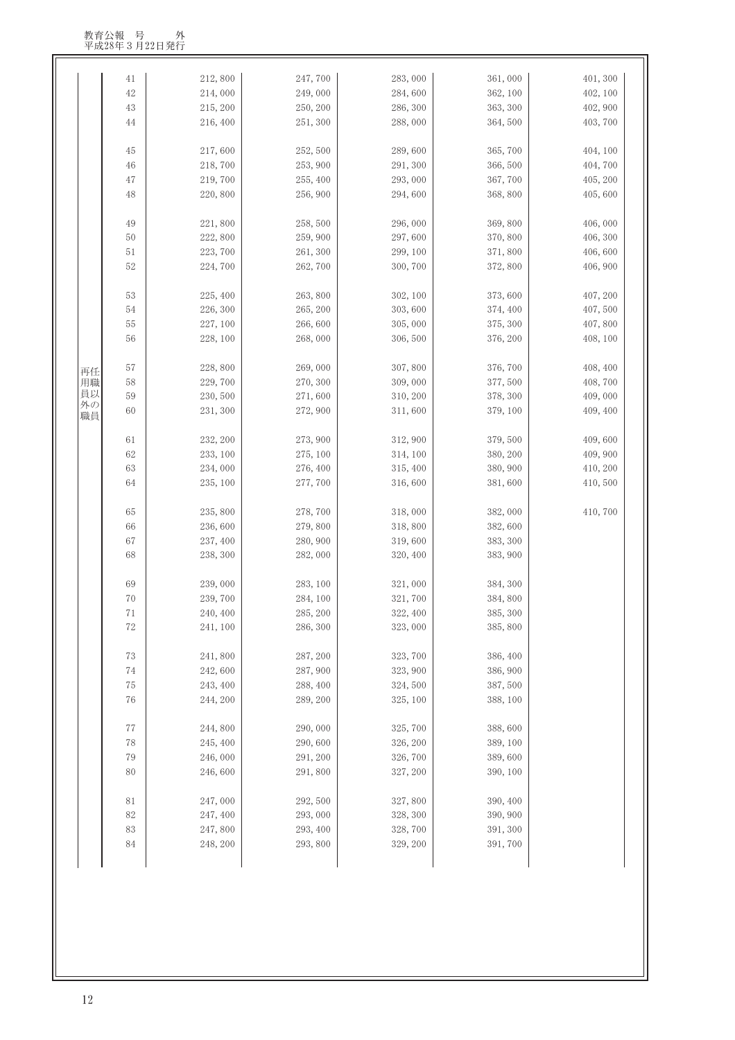|          | 41       | 212,800  | 247,700  | 283,000  | 361,000  | 401, 300 |
|----------|----------|----------|----------|----------|----------|----------|
|          | 42       | 214,000  | 249,000  | 284,600  | 362, 100 | 402, 100 |
|          | 43       | 215, 200 | 250, 200 | 286, 300 | 363, 300 | 402, 900 |
|          | 44       | 216, 400 | 251, 300 | 288,000  | 364,500  | 403, 700 |
|          | 45       | 217,600  | 252,500  | 289,600  | 365,700  | 404, 100 |
|          | 46       | 218,700  | 253, 900 | 291, 300 | 366, 500 | 404,700  |
|          | 47       | 219,700  | 255, 400 | 293,000  | 367,700  | 405, 200 |
|          | 48       | 220,800  | 256,900  | 294,600  | 368,800  | 405,600  |
|          | 49       | 221,800  | 258,500  | 296,000  | 369,800  | 406,000  |
|          | 50       | 222,800  | 259,900  | 297,600  | 370, 800 | 406, 300 |
|          | 51       | 223, 700 | 261, 300 | 299, 100 | 371,800  | 406,600  |
|          | 52       | 224,700  | 262,700  | 300, 700 | 372,800  | 406, 900 |
|          | 53       | 225, 400 | 263,800  | 302, 100 | 373,600  | 407, 200 |
|          | 54       | 226, 300 | 265, 200 | 303, 600 | 374, 400 | 407,500  |
|          | 55       | 227, 100 | 266,600  | 305,000  | 375, 300 | 407,800  |
|          | 56       | 228, 100 | 268,000  | 306,500  | 376, 200 | 408, 100 |
|          |          |          |          |          |          |          |
| 再任       | 57       | 228,800  | 269,000  | 307,800  | 376, 700 | 408, 400 |
| 用職<br>員以 | 58       | 229,700  | 270, 300 | 309,000  | 377,500  | 408,700  |
| 外の       | 59       | 230, 500 | 271,600  | 310, 200 | 378, 300 | 409,000  |
| 職員       | 60       | 231, 300 | 272,900  | 311,600  | 379, 100 | 409, 400 |
|          | 61       | 232, 200 | 273, 900 | 312, 900 | 379, 500 | 409,600  |
|          | 62       | 233, 100 | 275, 100 | 314, 100 | 380, 200 | 409, 900 |
|          | 63       | 234,000  | 276, 400 | 315, 400 | 380, 900 | 410, 200 |
|          | 64       | 235, 100 | 277,700  | 316,600  | 381,600  | 410,500  |
|          | 65       | 235,800  | 278,700  | 318,000  | 382,000  | 410,700  |
|          | 66       | 236,600  | 279,800  | 318,800  | 382,600  |          |
|          | 67       | 237, 400 | 280, 900 | 319,600  | 383, 300 |          |
|          | 68       | 238, 300 | 282,000  | 320, 400 | 383, 900 |          |
|          | 69       | 239,000  | 283, 100 | 321,000  | 384, 300 |          |
|          | $70\,$   | 239,700  | 284, 100 | 321,700  | 384,800  |          |
|          | 71       | 240, 400 | 285, 200 | 322, 400 | 385, 300 |          |
|          | 72       | 241, 100 | 286, 300 | 323,000  | 385,800  |          |
|          | 73       | 241,800  | 287, 200 | 323, 700 | 386, 400 |          |
|          | 74       | 242,600  | 287,900  | 323, 900 | 386, 900 |          |
|          | 75       | 243, 400 | 288, 400 | 324,500  | 387,500  |          |
|          | 76       | 244, 200 | 289, 200 | 325, 100 | 388, 100 |          |
|          | $77\,$   | 244,800  | 290,000  | 325,700  | 388,600  |          |
|          | 78       | 245, 400 | 290,600  | 326, 200 | 389, 100 |          |
|          | 79       | 246,000  | 291, 200 | 326, 700 | 389,600  |          |
|          | 80       | 246,600  | 291,800  | 327, 200 | 390, 100 |          |
|          | 81       | 247,000  | 292,500  | 327,800  | 390, 400 |          |
|          | 82       | 247, 400 | 293,000  | 328, 300 | 390, 900 |          |
|          | $\rm 83$ | 247,800  | 293, 400 | 328, 700 | 391, 300 |          |
|          | 84       | 248, 200 | 293,800  | 329, 200 | 391,700  |          |
|          |          |          |          |          |          |          |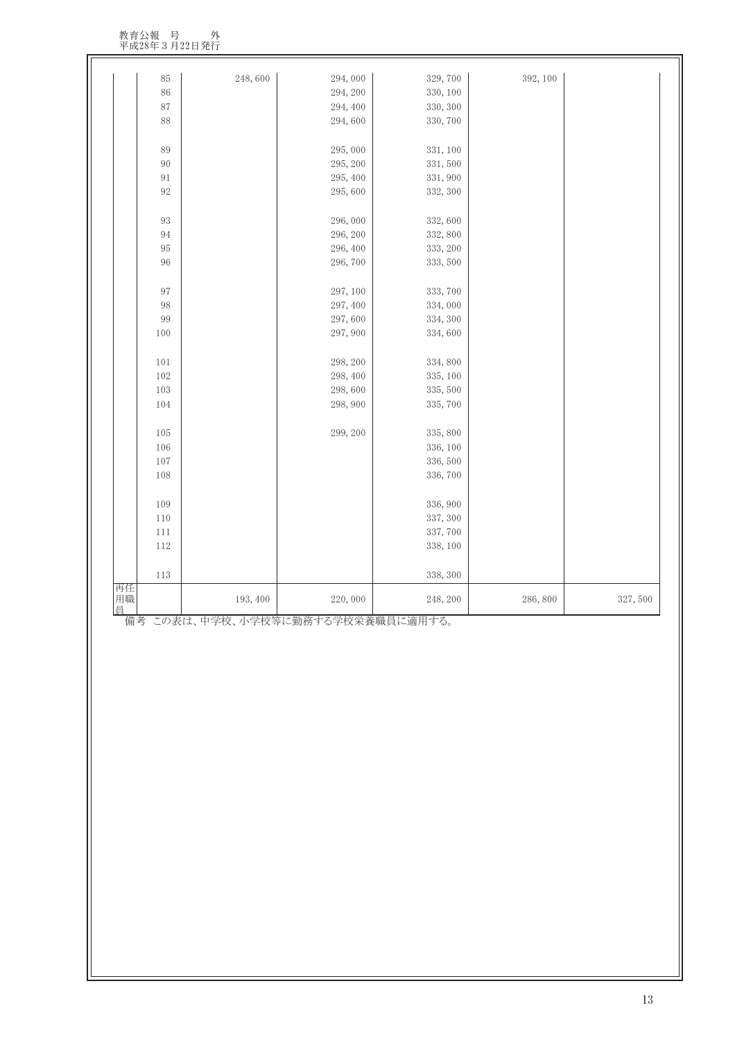教育公報 号 外 平成28年3月22日発行

| 再任       | 193, 400 | 220,000  | 248, 200 | 286,800  | 327,500 |
|----------|----------|----------|----------|----------|---------|
| 113      |          |          | 338, 300 |          |         |
| 112      |          |          | 338, 100 |          |         |
| 111      |          |          | 337,700  |          |         |
| $110\,$  |          |          | 337, 300 |          |         |
| 109      |          |          | 336, 900 |          |         |
| 108      |          |          | 336,700  |          |         |
| 107      |          |          | 336, 500 |          |         |
| 106      |          |          | 336, 100 |          |         |
| 105      |          | 299, 200 | 335, 800 |          |         |
| 104      |          | 298, 900 | 335, 700 |          |         |
| 103      |          | 298,600  | 335, 500 |          |         |
| 102      |          | 298, 400 | 335, 100 |          |         |
| 101      |          | 298, 200 | 334, 800 |          |         |
| 100      |          | 297, 900 | 334,600  |          |         |
| 99       |          | 297,600  | 334, 300 |          |         |
| 98       |          | 297, 400 | 334,000  |          |         |
| $\rm 97$ |          | 297, 100 | 333, 700 |          |         |
| $96\,$   |          | 296, 700 | 333, 500 |          |         |
| $\rm 95$ |          | 296, 400 | 333, 200 |          |         |
| 94       |          | 296, 200 | 332, 800 |          |         |
| $93\,$   |          | 296,000  | 332,600  |          |         |
| $92\,$   |          | 295,600  | 332, 300 |          |         |
| 91       |          | 295, 400 | 331, 900 |          |         |
| 90       |          | 295, 200 | 331,500  |          |         |
| $89\,$   |          | 295,000  | 331, 100 |          |         |
| 88       |          | 294,600  | 330, 700 |          |         |
| 87       |          | 294, 400 | 330, 300 |          |         |
| 86       |          | 294, 200 | 330, 100 |          |         |
| $85\,$   | 248,600  | 294,000  | 329,700  | 392, 100 |         |

備考 この表は、中学校、小学校等に勤務する学校栄養職員に適用する。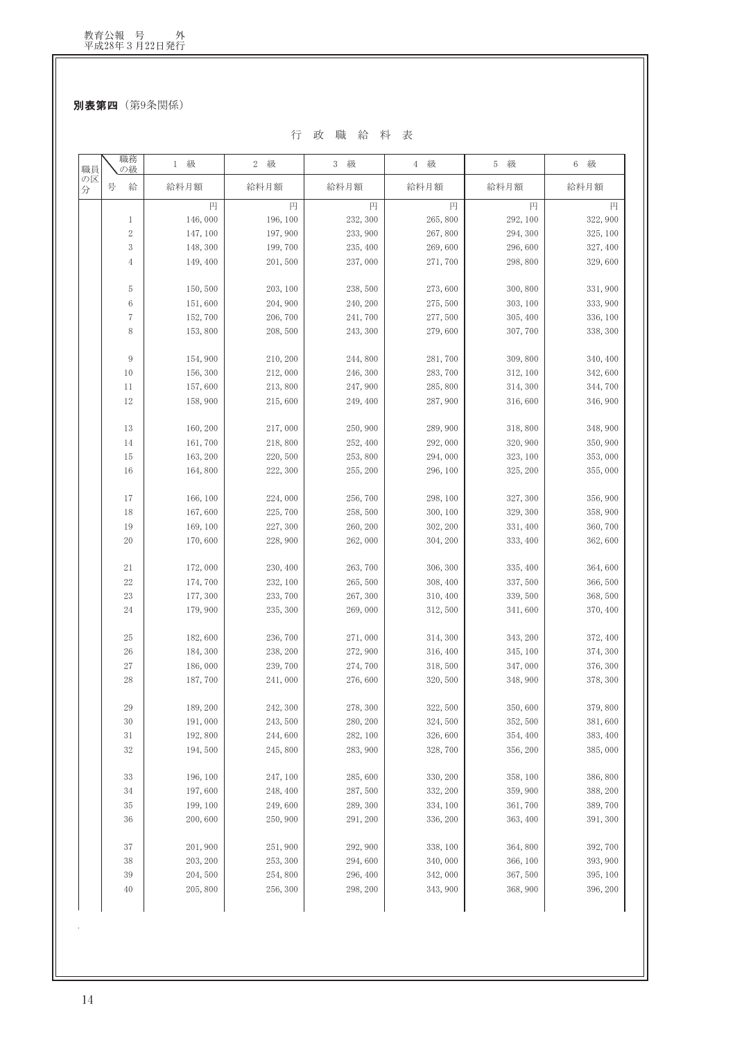別表第四 (第9条関係)

行 政 職 給 料 表

| 職員      | 職務<br>の級         | 1 級      | 級<br>$\mathbf{2}$ | 3 級      | 4 級      | 5 級      | 6 級      |
|---------|------------------|----------|-------------------|----------|----------|----------|----------|
| の区<br>分 | 号<br>給           | 給料月額     | 給料月額              | 給料月額     | 給料月額     | 給料月額     | 給料月額     |
|         |                  | 円        | 円                 | 円        | 円        | 円        | 円        |
|         | $\mathbf{1}$     | 146,000  | 196, 100          | 232, 300 | 265,800  | 292, 100 | 322,900  |
|         | $\,2$            | 147, 100 | 197,900           | 233, 900 | 267,800  | 294, 300 | 325, 100 |
|         | 3                | 148, 300 | 199,700           | 235, 400 | 269,600  | 296,600  | 327, 400 |
|         | $\overline{4}$   | 149, 400 | 201,500           | 237,000  | 271,700  | 298,800  | 329,600  |
|         | 5                | 150,500  | 203, 100          | 238,500  | 273,600  | 300, 800 | 331,900  |
|         | 6                | 151,600  | 204,900           | 240, 200 | 275,500  | 303, 100 | 333,900  |
|         | $\,7$            | 152,700  | 206,700           | 241,700  | 277,500  | 305, 400 | 336, 100 |
|         | 8                | 153,800  | 208,500           | 243, 300 | 279,600  | 307,700  | 338, 300 |
|         | $\boldsymbol{9}$ | 154,900  | 210, 200          | 244,800  | 281,700  | 309,800  | 340, 400 |
|         | 10               | 156, 300 | 212,000           | 246, 300 | 283,700  | 312, 100 | 342,600  |
|         | 11               | 157,600  | 213,800           | 247,900  | 285,800  | 314, 300 | 344,700  |
|         | 12               | 158,900  | 215,600           | 249, 400 | 287,900  | 316,600  | 346,900  |
|         | 13               | 160, 200 | 217,000           | 250,900  | 289,900  | 318,800  | 348,900  |
|         | 14               | 161,700  | 218,800           | 252, 400 | 292,000  | 320, 900 | 350, 900 |
|         | 15               | 163, 200 | 220,500           | 253,800  | 294,000  | 323, 100 | 353,000  |
|         | 16               | 164,800  | 222, 300          | 255, 200 | 296, 100 | 325, 200 | 355,000  |
|         | 17               | 166, 100 | 224,000           | 256,700  | 298, 100 | 327, 300 | 356,900  |
|         | 18               | 167,600  | 225,700           | 258,500  | 300, 100 | 329, 300 | 358,900  |
|         | 19               | 169, 100 | 227,300           | 260, 200 | 302, 200 | 331, 400 | 360,700  |
|         | 20               | 170,600  | 228,900           | 262,000  | 304, 200 | 333, 400 | 362,600  |
|         | 21               | 172,000  | 230, 400          | 263,700  | 306, 300 | 335, 400 | 364,600  |
|         | $22\,$           | 174,700  | 232, 100          | 265,500  | 308, 400 | 337,500  | 366,500  |
|         | 23               | 177, 300 | 233,700           | 267, 300 | 310, 400 | 339, 500 | 368,500  |
|         | 24               | 179,900  | 235, 300          | 269,000  | 312,500  | 341,600  | 370, 400 |
|         | 25               | 182,600  | 236,700           | 271,000  | 314, 300 | 343, 200 | 372, 400 |
|         | $26\,$           | 184, 300 | 238, 200          | 272,900  | 316, 400 | 345, 100 | 374, 300 |
|         | 27               | 186,000  | 239,700           | 274,700  | 318,500  | 347,000  | 376, 300 |
|         | 28               | 187,700  | 241,000           | 276,600  | 320, 500 | 348,900  | 378, 300 |
|         | 29               | 189, 200 | 242, 300          | 278, 300 | 322, 500 | 350,600  | 379,800  |
|         | $30\,$           | 191,000  | 243,500           | 280, 200 | 324,500  | 352, 500 | 381,600  |
|         | $3\sqrt{1}$      | 192,800  | 244,600           | 282, 100 | 326,600  | 354, 400 | 383, 400 |
|         | 32               | 194,500  | 245,800           | 283, 900 | 328,700  | 356, 200 | 385,000  |
|         | 33               | 196, 100 | 247, 100          | 285,600  | 330, 200 | 358, 100 | 386,800  |
|         | $34\,$           | 197,600  | 248, 400          | 287,500  | 332, 200 | 359,900  | 388, 200 |
|         | 35               | 199, 100 | 249,600           | 289, 300 | 334, 100 | 361,700  | 389,700  |
|         | 36               | 200,600  | 250,900           | 291, 200 | 336, 200 | 363, 400 | 391, 300 |
|         | 37               | 201,900  | 251,900           | 292, 900 | 338, 100 | 364,800  | 392, 700 |
|         | 38               | 203, 200 | 253, 300          | 294,600  | 340,000  | 366, 100 | 393, 900 |
|         | 39               | 204,500  | 254,800           | 296, 400 | 342,000  | 367,500  | 395, 100 |
|         | 40               | 205,800  | 256, 300          | 298, 200 | 343, 900 | 368, 900 | 396, 200 |
|         |                  |          |                   |          |          |          |          |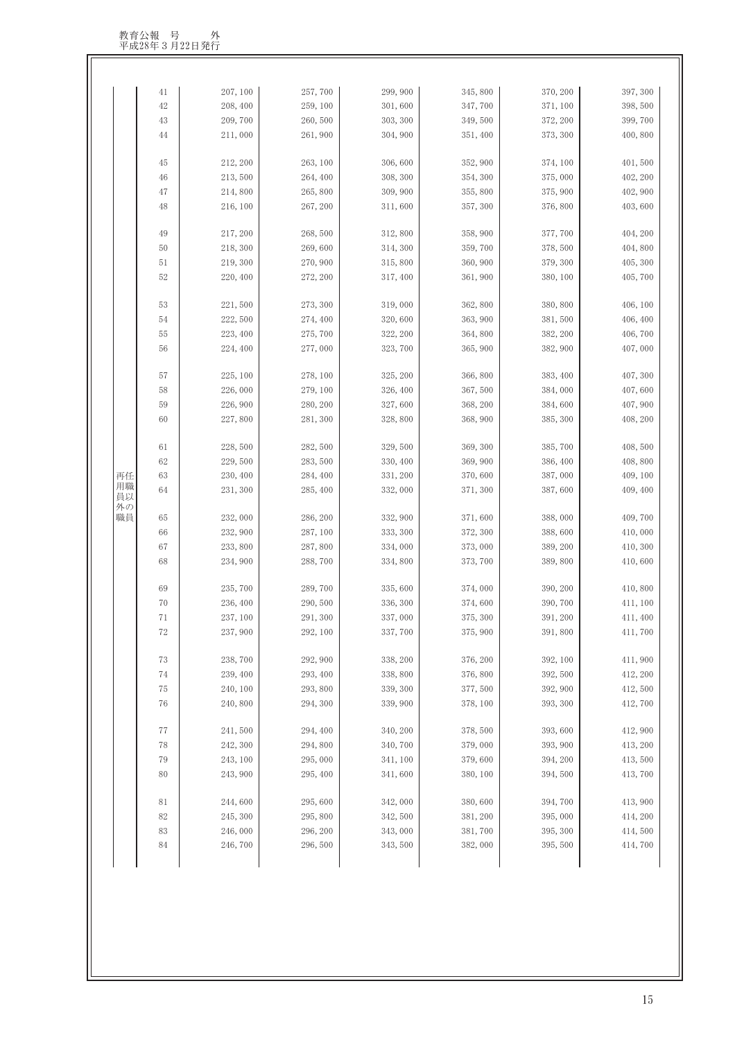|          | 41     | 207, 100 | 257,700  | 299,900  | 345,800  | 370, 200 | 397, 300 |
|----------|--------|----------|----------|----------|----------|----------|----------|
|          | 42     | 208, 400 | 259, 100 | 301,600  | 347,700  | 371, 100 | 398,500  |
|          | 43     | 209,700  | 260,500  | 303, 300 | 349,500  | 372, 200 | 399,700  |
|          | 44     | 211,000  | 261,900  | 304, 900 | 351, 400 | 373, 300 | 400,800  |
|          | 45     | 212, 200 | 263, 100 | 306,600  | 352, 900 | 374, 100 | 401,500  |
|          | 46     | 213,500  | 264, 400 | 308, 300 | 354, 300 | 375,000  | 402, 200 |
|          | 47     | 214,800  | 265,800  | 309, 900 | 355,800  | 375, 900 | 402, 900 |
|          | 48     | 216, 100 | 267, 200 | 311,600  | 357, 300 | 376,800  | 403,600  |
|          | 49     | 217, 200 | 268,500  | 312,800  | 358, 900 | 377,700  | 404, 200 |
|          | 50     | 218, 300 | 269,600  | 314, 300 | 359,700  | 378, 500 | 404,800  |
|          | 51     | 219, 300 | 270, 900 | 315,800  | 360, 900 | 379, 300 | 405, 300 |
|          | 52     | 220, 400 | 272, 200 | 317, 400 | 361, 900 | 380, 100 | 405,700  |
|          | 53     | 221,500  | 273, 300 | 319,000  | 362,800  | 380,800  | 406, 100 |
|          | 54     | 222,500  | 274, 400 | 320,600  | 363, 900 | 381,500  | 406, 400 |
|          | 55     | 223, 400 | 275,700  | 322, 200 | 364,800  | 382, 200 | 406,700  |
|          | 56     | 224, 400 | 277,000  | 323, 700 | 365, 900 | 382, 900 | 407,000  |
|          | 57     | 225, 100 | 278, 100 | 325, 200 | 366,800  | 383, 400 | 407, 300 |
|          | 58     | 226,000  | 279, 100 | 326, 400 | 367,500  | 384,000  | 407,600  |
|          | 59     | 226, 900 | 280, 200 | 327,600  | 368, 200 | 384,600  | 407, 900 |
|          | 60     | 227,800  | 281, 300 | 328,800  | 368, 900 | 385, 300 | 408, 200 |
|          | 61     | 228,500  | 282, 500 | 329, 500 | 369, 300 | 385, 700 | 408,500  |
|          | 62     | 229,500  | 283, 500 | 330, 400 | 369, 900 | 386, 400 | 408,800  |
| 再任       | 63     | 230, 400 | 284, 400 | 331, 200 | 370,600  | 387,000  | 409, 100 |
| 用職<br>員以 | 64     | 231, 300 | 285, 400 | 332,000  | 371, 300 | 387,600  | 409, 400 |
| 外の<br>職員 | 65     | 232,000  | 286, 200 | 332, 900 | 371,600  | 388,000  | 409,700  |
|          | 66     | 232, 900 | 287, 100 | 333, 300 | 372, 300 | 388,600  | 410,000  |
|          | 67     | 233,800  | 287,800  | 334,000  | 373,000  | 389, 200 | 410, 300 |
|          | 68     | 234, 900 | 288,700  | 334,800  | 373, 700 | 389,800  | 410,600  |
|          | 69     | 235, 700 | 289,700  | 335,600  | 374,000  | 390, 200 | 410,800  |
|          | 70     | 236, 400 | 290,500  | 336, 300 | 374,600  | 390, 700 | 411, 100 |
|          | 71     | 237, 100 | 291, 300 | 337,000  | 375, 300 | 391, 200 | 411, 400 |
|          | 72     | 237, 900 | 292, 100 | 337,700  | 375, 900 | 391,800  | 411,700  |
|          | 73     | 238,700  | 292, 900 | 338, 200 | 376, 200 | 392, 100 | 411,900  |
|          | 74     | 239, 400 | 293, 400 | 338,800  | 376,800  | 392, 500 | 412, 200 |
|          | 75     | 240, 100 | 293,800  | 339, 300 | 377,500  | 392, 900 | 412,500  |
|          | 76     | 240,800  | 294, 300 | 339,900  | 378, 100 | 393, 300 | 412,700  |
|          | 77     | 241,500  | 294, 400 | 340, 200 | 378,500  | 393,600  | 412,900  |
|          | 78     | 242, 300 | 294,800  | 340,700  | 379,000  | 393, 900 | 413, 200 |
|          | 79     | 243, 100 | 295,000  | 341, 100 | 379,600  | 394, 200 | 413,500  |
|          | 80     | 243, 900 | 295, 400 | 341,600  | 380, 100 | 394,500  | 413,700  |
|          | 81     | 244,600  | 295,600  | 342,000  | 380,600  | 394,700  | 413,900  |
|          | $82\,$ | 245, 300 | 295,800  | 342,500  | 381, 200 | 395,000  | 414, 200 |
|          | 83     | 246,000  | 296, 200 | 343,000  | 381,700  | 395, 300 | 414,500  |
|          |        |          |          |          |          |          |          |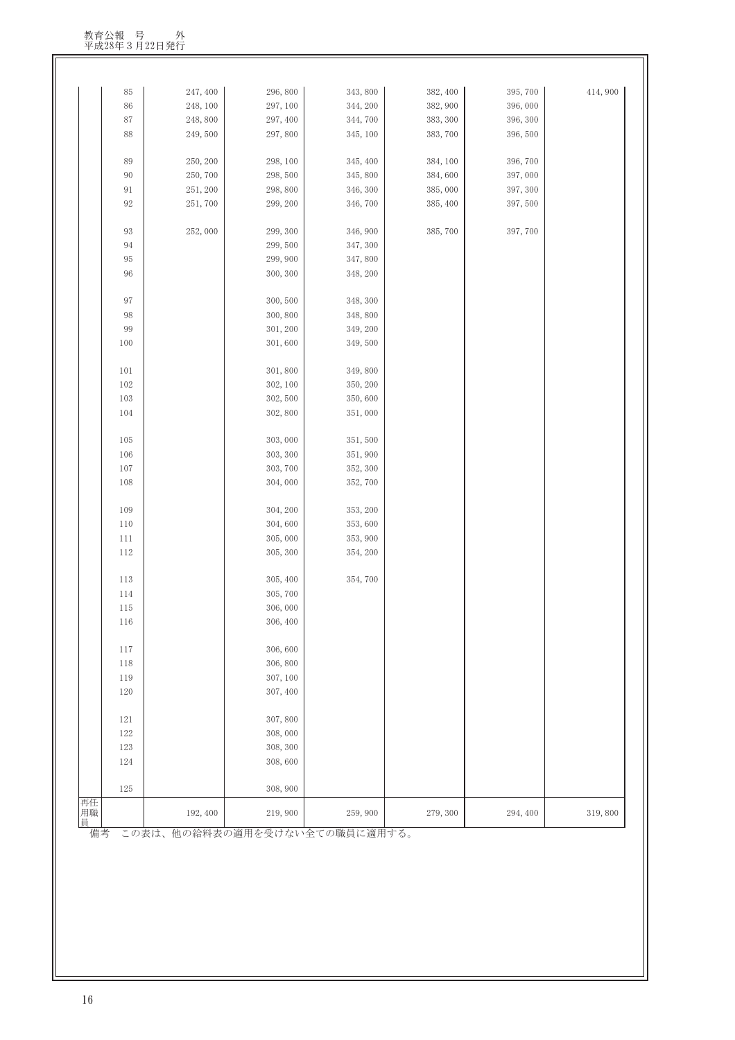| 再任<br>用職       | 192, 400 | 219,900             | 259,900             | 279, 300 | 294, 400 | 319,800 |
|----------------|----------|---------------------|---------------------|----------|----------|---------|
| 125            |          | 308, 900            |                     |          |          |         |
| 124            |          | 308,600             |                     |          |          |         |
| 123            |          | 308, 300            |                     |          |          |         |
| 122            |          | 308,000             |                     |          |          |         |
| 121            |          | 307,800             |                     |          |          |         |
| 120            |          | 307, 400            |                     |          |          |         |
| 119            |          | 307, 100            |                     |          |          |         |
| 118            |          | 306,800             |                     |          |          |         |
| 117            |          | 306,600             |                     |          |          |         |
| 116            |          | 306, 400            |                     |          |          |         |
| 115            |          | 306,000             |                     |          |          |         |
| 114            |          | 305,700             |                     |          |          |         |
| 113            |          | 305, 400            | 354,700             |          |          |         |
|                |          |                     |                     |          |          |         |
| 112            |          | 305, 300            | 354, 200            |          |          |         |
| 111            |          | 305,000             | 353, 900            |          |          |         |
| $110\,$        |          | 304,600             | 353,600             |          |          |         |
| 109            |          | 304, 200            | 353, 200            |          |          |         |
| 108            |          | 304,000             | 352,700             |          |          |         |
| $107\,$        |          | 303, 700            | 352, 300            |          |          |         |
| 106            |          | 303, 300            | 351,900             |          |          |         |
| 105            |          | 303,000             | 351,500             |          |          |         |
|                |          |                     |                     |          |          |         |
| 104            |          | 302,800             | 351,000             |          |          |         |
| 103            |          | 302, 500            | 350,600             |          |          |         |
| 101<br>$102\,$ |          | 301,800<br>302, 100 | 349,800<br>350, 200 |          |          |         |
|                |          |                     |                     |          |          |         |
| 100            |          | 301,600             | 349,500             |          |          |         |
| $99\,$         |          | 301, 200            | 349, 200            |          |          |         |
| $98\,$         |          | 300, 800            | 348,800             |          |          |         |
| $\rm 97$       |          | 300, 500            | 348, 300            |          |          |         |
| 96             |          | 300, 300            | 348, 200            |          |          |         |
| $95\,$         |          | 299,900             | 347,800             |          |          |         |
| 94             |          | 299,500             | 347, 300            |          |          |         |
| 93             | 252,000  | 299, 300            | 346, 900            | 385,700  | 397,700  |         |
|                |          |                     |                     |          |          |         |
| $92\,$         | 251,700  | 299, 200            | 346,700             | 385, 400 | 397,500  |         |
| 91             | 251, 200 | 298,800             | 346, 300            | 385,000  | 397, 300 |         |
| $90\,$         | 250,700  | 298,500             | 345, 800            | 384,600  | 397,000  |         |
| 89             | 250, 200 | 298, 100            | 345, 400            | 384, 100 | 396,700  |         |
| 88             | 249,500  | 297,800             | 345, 100            | 383,700  | 396,500  |         |
| $87\,$         | 248,800  | 297, 400            | 344,700             | 383, 300 | 396, 300 |         |
| $86\,$         | 248, 100 | 297, 100            | 344, 200            | 382, 900 | 396,000  |         |
| $85\,$         | 247, 400 | 296,800             | 343,800             | 382, 400 | 395,700  | 414,900 |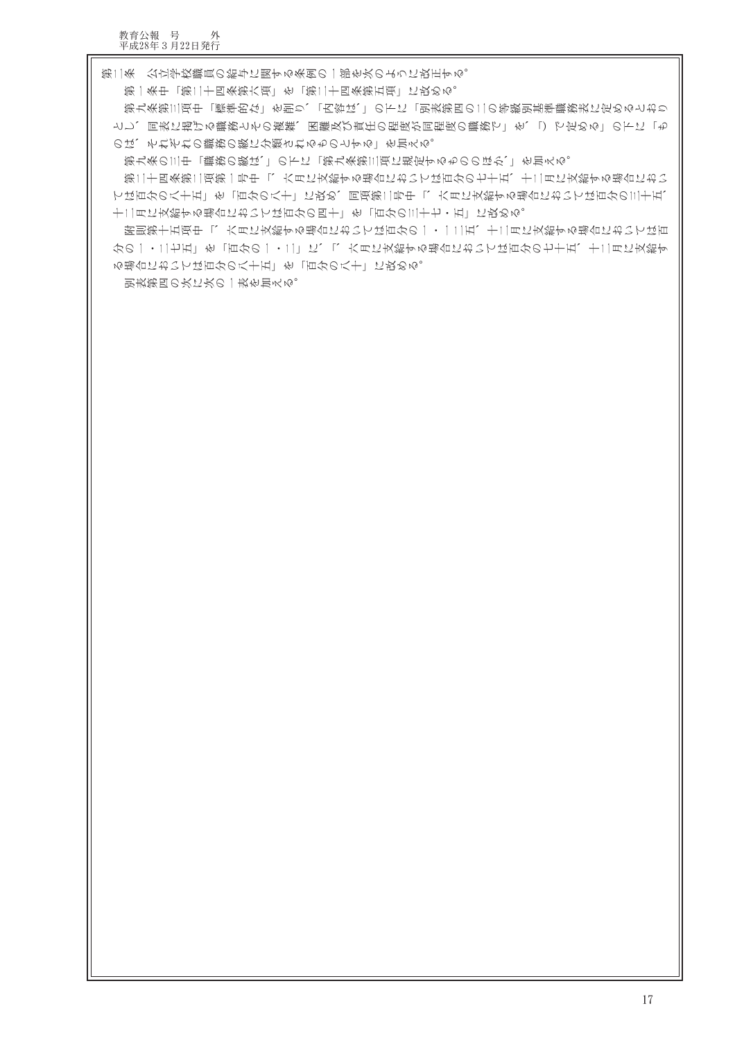第二条(公立学校職員の給与に関する条例の一部を次のように改正する。

のは、それぞれの職務の級に分類されるものとする」を加える。

る場合においては百分の八十五」を「百分の八十」に改める。

別表第四の次に次の一表を加える。

第一条中「第二十四条第六項」を「第二十四条第五項」に改める。

十二月に支給する場合においては百分の四十」を「百分の三十七・五」に改める。

第九条の三中「職務の級は、」の下に「第九条第三項に規定するもののほか、」を加える。

第九条第三項中「標準的な」を削り、「内容は、」の下に「別表第四の二の等級別基準職務表に定めるとおり とし、同表に掲げる職務とその複雑、困難及び責任の程度が同程度の職務で」を、「)で定める」の下に「も

第二十四条第二項第一号中「、六月に支給する場合においては百分の七十五、十二月に支給する場合におい ては百分の八十五」を「百分の八十」に改め、同項第二号中「、六月に支給する場合においては百分の三十五、

附則第十五項中「、六月に支給する場合においては百分の一・一二五、十二月に支給する場合においては百 分の一・二七五」を「百分の一・二」に、「、六月に支給する場合においては百分の七十五、十二月に支給す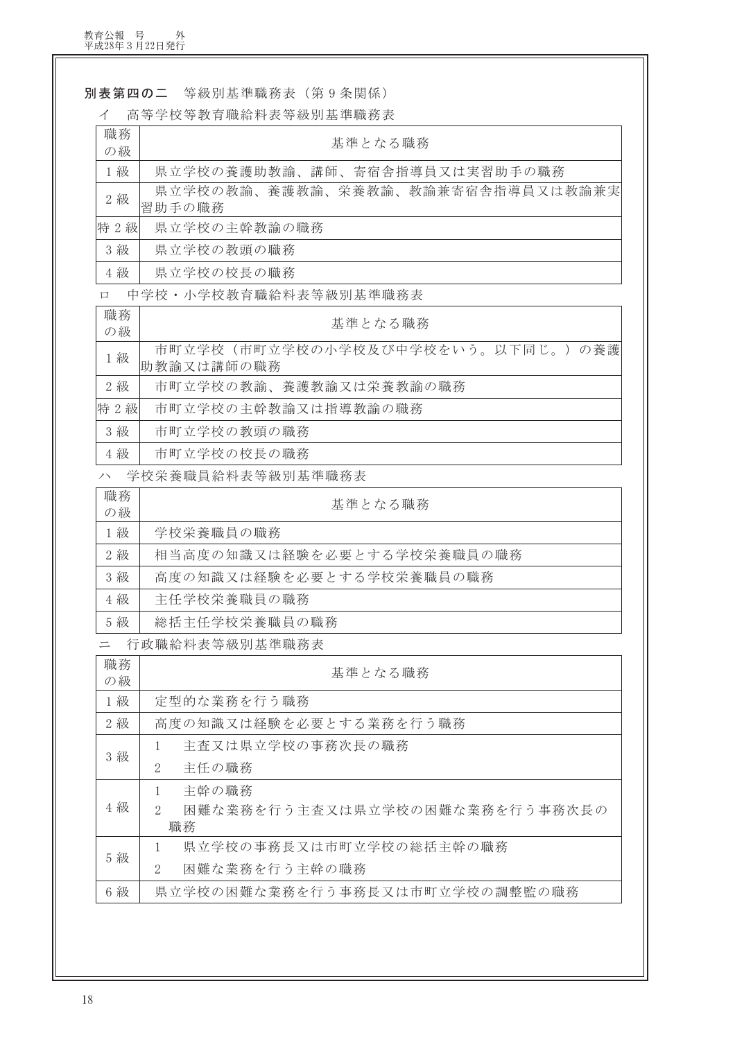別表第四の二 等級別基準職務表 (第9条関係)

ィ 高等学校等教育職給料表等級別基進職務表

| 職務<br>の級 | 基準となる職務                                         |
|----------|-------------------------------------------------|
| 1級       | 県立学校の養護助教諭、講師、寄宿舎指導員又は実習助手の職務                   |
| 2級       | 県立学校の教諭、養護教諭、栄養教諭、教諭兼寄宿舎指導員又は教諭兼実<br>習助手の職務     |
| 特 2級     | 県立学校の主幹教諭の職務                                    |
| 3級       | 県立学校の教頭の職務                                      |
| 4級       | 県立学校の校長の職務                                      |
| $\Box$   | 中学校 · 小学校教育職給料表等級別基準職務表                         |
| 職務<br>の級 | 基準となる職務                                         |
| 1級       | 市町立学校(市町立学校の小学校及び中学校をいう。以下同じ。)の養護<br>助教諭又は講師の職務 |
| 2級       | 市町立学校の教諭、養護教諭又は栄養教諭の職務                          |
| 特 2 級    | 市町立学校の主幹教諭又は指導教諭の職務                             |
| 3級       | 市町立学校の教頭の職務                                     |
| 4 級      | 市町立学校の校長の職務                                     |
| ハ        | 学校栄養職員給料表等級別基準職務表                               |
| 職務<br>の級 | 基準となる職務                                         |
| 1級       | 学校栄養職員の職務                                       |
| 2級       | 相当高度の知識又は経験を必要とする学校栄養職員の職務                      |
| 3級       | 高度の知識又は経験を必要とする学校栄養職員の職務                        |
| 4級       | 主任学校栄養職員の職務                                     |
| 5級       | 総括主任学校栄養職員の職務                                   |
| $=$      | 行政職給料表等級別基準職務表                                  |
| 職務<br>の級 | 基準となる職務                                         |
| 1級       | 定型的な業務を行う職務                                     |
| 2級       | 高度の知識又は経験を必要とする業務を行う職務                          |
|          | 主査又は県立学校の事務次長の職務<br>1                           |
| 3級       | $\mathbf{2}$<br>主任の職務                           |
|          | 主幹の職務<br>1                                      |
| 4 級      | 困難な業務を行う主査又は県立学校の困難な業務を行う事務次長の<br>2<br>職務       |
|          | 県立学校の事務長又は市町立学校の総括主幹の職務<br>1                    |
| 5 級      | 困難な業務を行う主幹の職務<br>2                              |

困難な業務を行う主幹の職務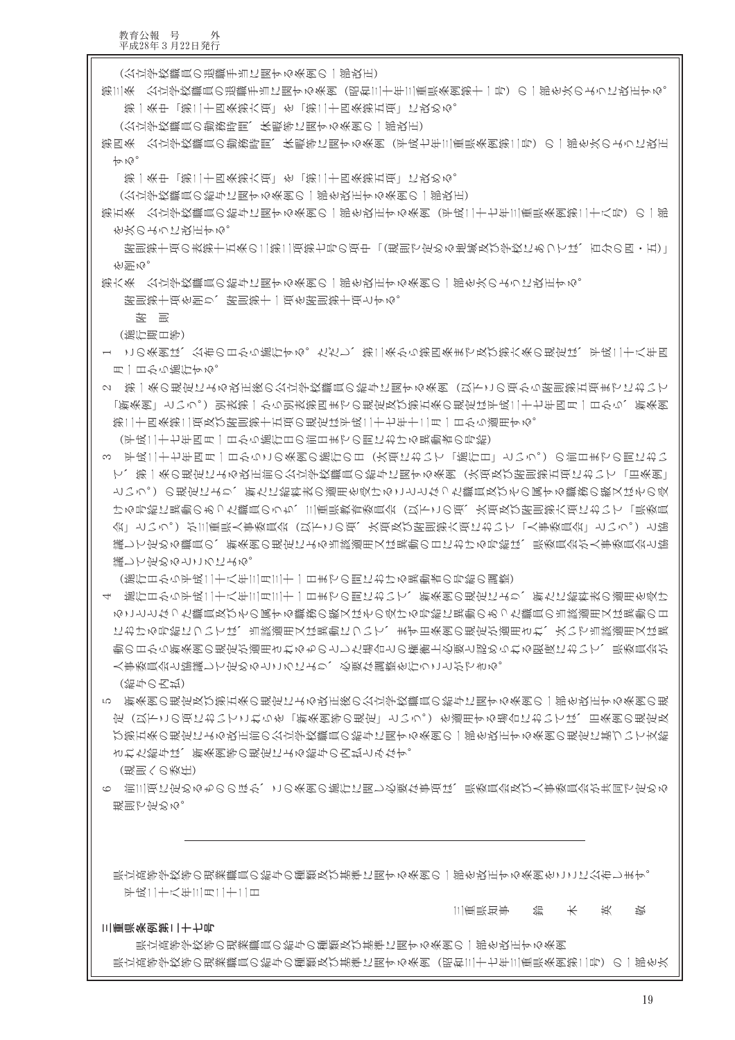三重県条例第二十七号

平成二十八年三月二十二日

三重県知事 鈴 木 英 崁

具立高等学校等の現業職員の給与の種類及び基準に関する条例の一部を改正する条例をここに公布します。

規則で定める。

(現則への委任) 6 前三項に定めるもののほか、この条例の施行に関し必要な事項は、県委員会及び人事委員会が共同で定める

された給与は、新条例等の規定による給与の内払とみなす。

(給与の内払) 5 新条例の規定及び第五条の規定による改正後の公立学校職員の給与に関する条例の一部を改正する条例の規 定(以下この項においてこれらを「新条例等の規定」という。)を適用する場合においては、旧条例の規定及 び第五条の規定による改正前の公立学校職員の給与に関する条例の一部を改正する条例の規定に基づいて支給

人事委員会と協議して定めるところにより、必要な調整を行うことができる。

- (施行日から平成二十八年三月三十一日までの間における異動者の号給の調整) 4 施行日から平成二十八年三月三十一日までの間において、新条例の規定により、新たに給料表の適用を受け ることとなった職員及びその属する職務の級又はその受ける号給に異動のあった職員の当該適用又は異動の日 における号給については、当該適用又は異動について、まず日条列の現定が適用され、次いで当該適用又は異 動の日から新条例の現定が適用されるものとした場合との権衡上必要と認められる艰度において、県委員会が
- 議して定めるところによる。

て、第一条の現定による改正前の公立学校職員の給与に関する条例(次項及び附則第五項において「旧条例」 という。)の規定により、新たに給料表の適用を受けることとなった職員及びその属する職務の級又はその受 ける号給に異動のあった職員のうち、三重県教育委員会(以下この項、次項及び附則第六項において「県委員 会」という。)が三重県人事委員会(以下この項、次項及び附則第六項において「人事委員会」という。)と協 議して定める職員の、新条例の規定による当該適用又は異動の日における号給は、県委員会が人事委員会と協議して定める職員の、新条例の規定による当該適用又は異動の日における号給は、県委員会が人事委員会と協

(平成二十七年四月一日から施行日の前日までの間における異動者の号給) 3 平戎二十七年四月一日からこの条列の施行の日(次項において「施行日」という。)の前日までの間におい

第二十四条第二項及び附則第十五項の規定は平成二十七年十二月一日から適用する。

- 月一日から施行する。 2 第一条の現定による牧正後の公立学校職員の給与に関する条例(以下この項から附則第五項までにおいて) 「新条例」という。)別表第一から別表第四までの規定及び第五条の規定は平成二十七年四月一日から、新条例
- (施行期日等) 1 この条例は、公布の日から施行する。ただし、第二条から第四条まで及び第六条の規定は、平成二十八年四

医 园

 $\n *Im*$ 

附則第十項を削り、附則第十一項を附則第十項とする。

第六条 公立学校職員の給与に関する条例の一部を改正する条例の一部を次のように改正する。

附則第十項の表第十五条の二第二項第七号の項中 「(規則で定める地域及び学校にあつては、百分の四・五)」 老門め。

第五条 公立学校職員の給与に関する条例の一部を改正する条例(平成二十七年三重県条例第二十八号)の一部 **を次のように投圧やめ。** 

(公立学校職員の給与に関する条例の一部を改正する条例の一部改正)

第一条中「第二十四条第六項」を「第二十四条第五項」に改める。

- (公立学校職員の勤務時間、休暇等に関する条例の一部改正) 第四条 公立学校職員の勤務時間、休暇等に関する条例(平成七年三重県条例第二号)の一部を次のように改正
- 第一条中「第二十四条第六項」を「第二十四条第五項」に改める。
- (公立学校職員の退職手当に関する条例の一部改正) 第三条 公立学饺職員の退職手当に関する条例(昭和三十年三重県条例第十一号)の一部を次のように攻正する。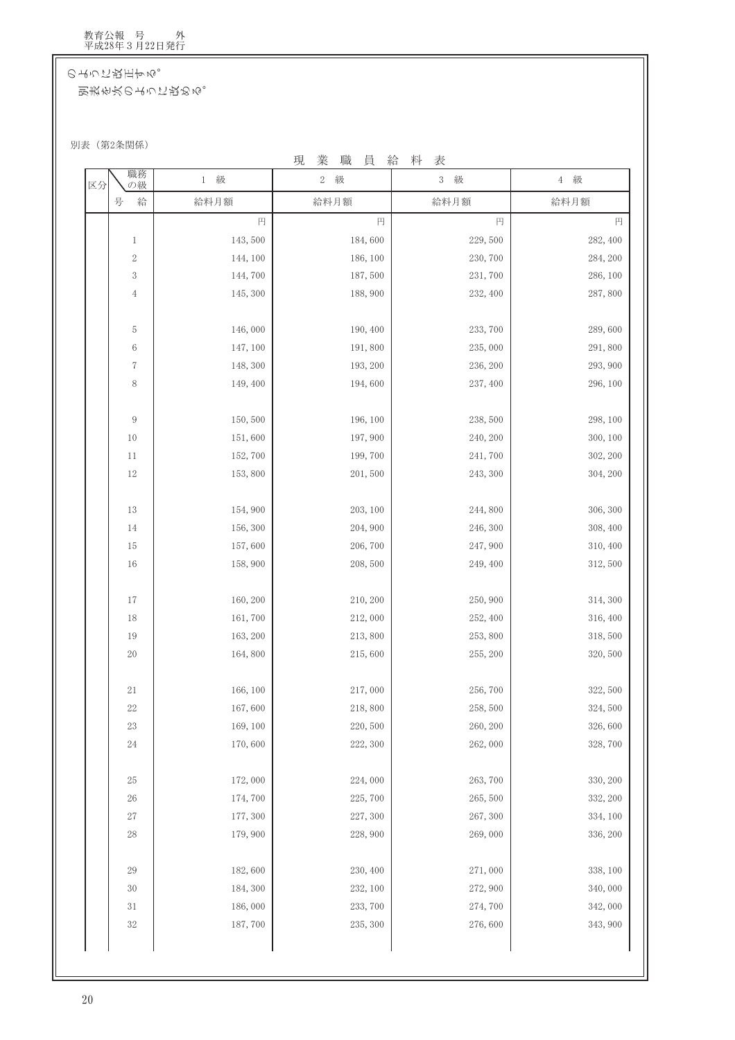のように改正する。

別表を次のように改める。

別表 (第2条関係)

現業職員給料表

| 2 級      | 級<br>$3 -$           | 4 級                                                               |
|----------|----------------------|-------------------------------------------------------------------|
| 給料月額     | 給料月額                 | 給料月額                                                              |
| 円        | 円                    | 円<br>円                                                            |
| 143,500  | 184,600<br>229,500   | 282, 400                                                          |
| 144, 100 | 186, 100<br>230,700  | 284, 200                                                          |
| 144,700  | 187,500<br>231,700   | 286, 100                                                          |
| 145, 300 | 188,900<br>232, 400  | 287,800                                                           |
| 146,000  | 190, 400<br>233,700  | 289,600                                                           |
| 147, 100 | 235,000<br>191,800   | 291,800                                                           |
| 148, 300 | 193, 200<br>236, 200 | 293, 900                                                          |
| 149, 400 | 194,600<br>237, 400  | 296, 100                                                          |
| 150,500  | 196, 100<br>238,500  | 298, 100                                                          |
| 151,600  | 197,900<br>240, 200  | 300, 100                                                          |
| 152,700  | 199,700<br>241,700   | 302, 200                                                          |
| 153,800  | 201,500<br>243, 300  | 304, 200                                                          |
| 154,900  | 203, 100<br>244,800  | 306, 300                                                          |
| 156, 300 | 204, 900<br>246, 300 | 308, 400                                                          |
| 157,600  | 206,700<br>247,900   | 310, 400                                                          |
| 158,900  | 208,500<br>249, 400  | 312,500                                                           |
| 160, 200 | 210, 200<br>250,900  | 314, 300                                                          |
| 161,700  | 212,000<br>252, 400  | 316, 400                                                          |
| 163, 200 | 213,800<br>253,800   | 318,500                                                           |
| 164,800  | 215,600<br>255, 200  | 320,500                                                           |
| 166, 100 | 217,000<br>256,700   | 322, 500                                                          |
| 167,600  | 218,800<br>258,500   | 324,500                                                           |
| 169, 100 | 220,500<br>260, 200  | 326,600                                                           |
| 170,600  | 222, 300<br>262,000  | 328,700                                                           |
| 172,000  | 263,700<br>224,000   | 330, 200                                                          |
| 174,700  | 225,700<br>265,500   | 332, 200                                                          |
| 177, 300 | 227, 300<br>267, 300 | 334, 100                                                          |
| 179,900  | 228,900<br>269,000   | 336, 200                                                          |
| 182,600  | 230, 400<br>271,000  | 338, 100                                                          |
| 184, 300 |                      | 340,000                                                           |
| 186,000  |                      | 342,000                                                           |
| 187,700  |                      | 343, 900                                                          |
|          |                      | 232, 100<br>272,900<br>233, 700<br>274,700<br>235, 300<br>276,600 |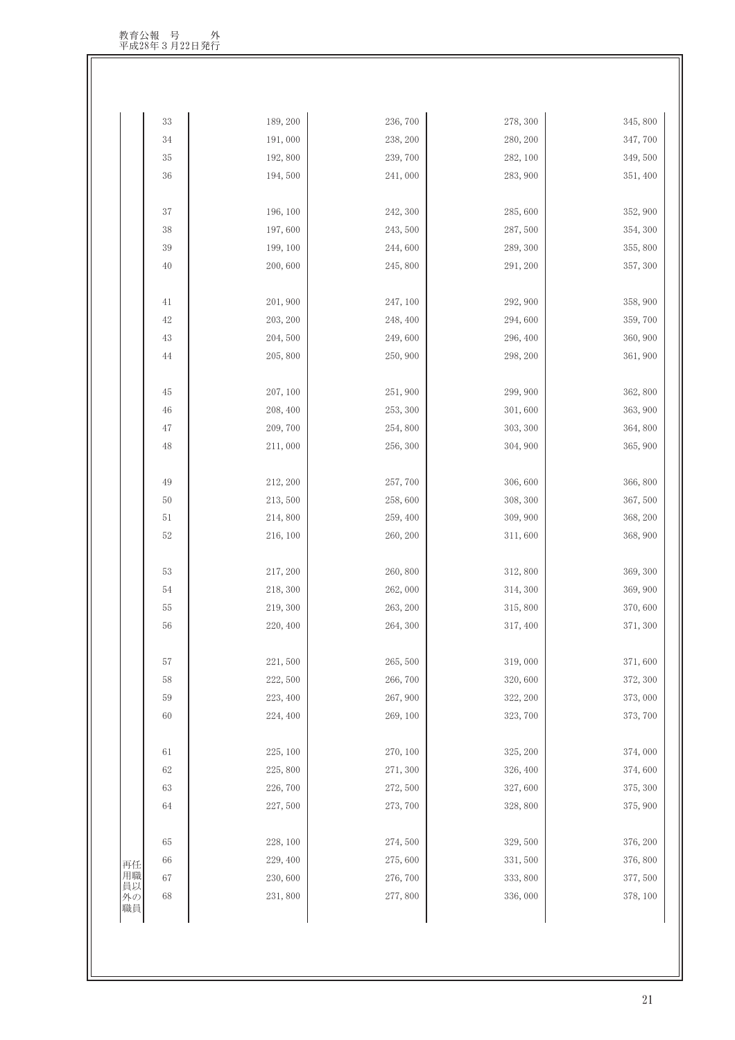| $33\,$             | 189, 200 | 236,700  | 278, 300 | 345, 800 |
|--------------------|----------|----------|----------|----------|
| $34\,$             | 191,000  | 238, 200 | 280, 200 | 347,700  |
| $35\,$             | 192,800  | 239,700  | 282, 100 | 349,500  |
| $36\,$             | 194,500  | 241,000  | 283, 900 | 351, 400 |
|                    |          |          |          |          |
| 37                 | 196, 100 | 242, 300 | 285,600  | 352, 900 |
| $38\,$             | 197,600  | 243,500  | 287,500  | 354, 300 |
| $39\,$             | 199, 100 | 244,600  | 289, 300 | 355, 800 |
| 40                 | 200,600  | 245,800  | 291, 200 | 357, 300 |
| 41                 | 201,900  | 247, 100 | 292, 900 | 358, 900 |
| 42                 | 203, 200 | 248, 400 | 294,600  | 359,700  |
| 43                 | 204,500  | 249,600  | 296, 400 | 360, 900 |
| 44                 | 205,800  | 250,900  | 298, 200 | 361, 900 |
|                    |          |          |          |          |
| $45\,$             | 207, 100 | 251,900  | 299, 900 | 362,800  |
| 46                 | 208, 400 | 253, 300 | 301,600  | 363, 900 |
| $47\,$             | 209,700  | 254,800  | 303, 300 | 364,800  |
| $48\,$             | 211,000  | 256, 300 | 304, 900 | 365, 900 |
|                    |          |          |          |          |
| 49                 | 212, 200 | 257,700  | 306,600  | 366, 800 |
| $50\,$             | 213,500  | 258,600  | 308, 300 | 367,500  |
| $51\,$             | 214,800  | 259, 400 | 309, 900 | 368, 200 |
| 52                 | 216, 100 | 260, 200 | 311,600  | 368, 900 |
| 53                 | 217, 200 | 260,800  | 312,800  | 369, 300 |
| 54                 | 218, 300 | 262,000  | 314, 300 | 369, 900 |
| $55\,$             | 219, 300 | 263, 200 | 315,800  | 370,600  |
| 56                 | 220, 400 | 264, 300 | 317, 400 | 371, 300 |
|                    |          |          |          |          |
| $57\,$             | 221,500  | 265,500  | 319,000  | 371,600  |
| $58\,$             | 222, 500 | 266,700  | 320,600  | 372, 300 |
| 59                 | 223, 400 | 267,900  | 322, 200 | 373,000  |
| 60                 | 224, 400 | 269, 100 | 323, 700 | 373, 700 |
|                    |          |          |          |          |
| 61                 | 225, 100 | 270, 100 | 325, 200 | 374,000  |
| 62                 | 225,800  | 271,300  | 326, 400 | 374,600  |
| 63                 | 226,700  | 272,500  | 327,600  | 375, 300 |
| 64                 | 227,500  | 273, 700 | 328,800  | 375, 900 |
| 65                 | 228, 100 | 274,500  | 329,500  | 376, 200 |
| 66<br>再任           | 229, 400 | 275,600  | 331,500  | 376, 800 |
| 用職<br>$67\,$       | 230,600  | 276, 700 | 333, 800 | 377,500  |
| 員以<br>$68\,$<br>外の | 231,800  | 277,800  | 336,000  | 378, 100 |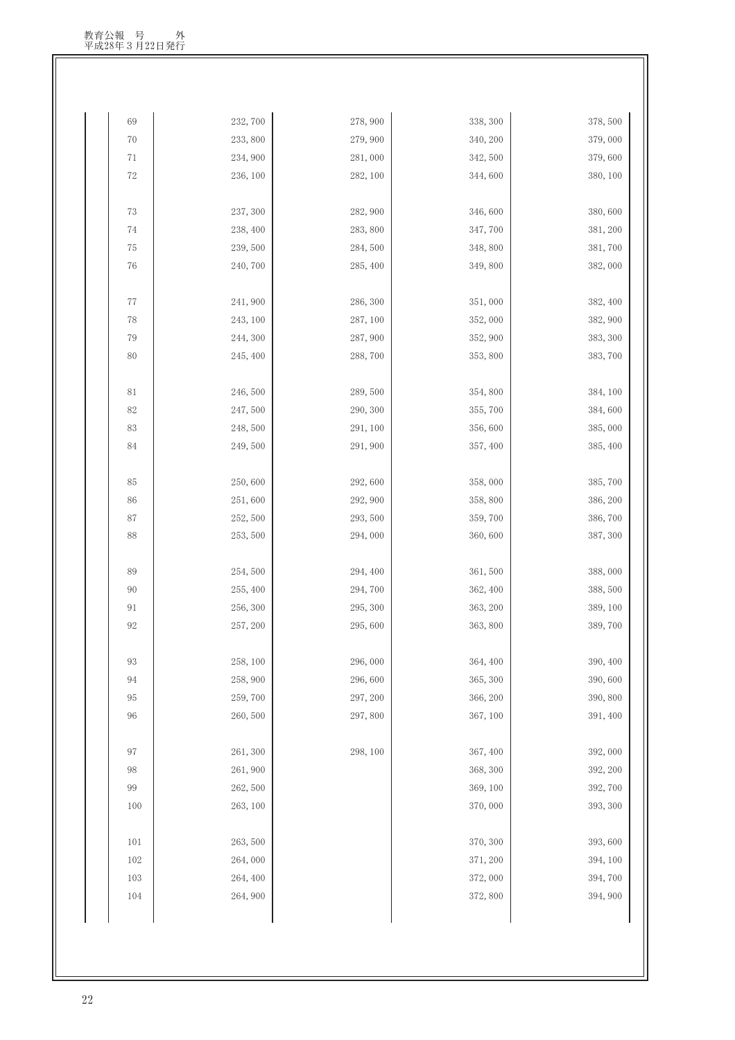| 69          | 232, 700 | 278,900            | 338, 300             | 378, 500            |
|-------------|----------|--------------------|----------------------|---------------------|
| $70\,$      | 233, 800 | 279,900            | 340, 200             | 379,000             |
| $7\sqrt{1}$ | 234, 900 | 281,000            | 342, 500             | 379,600             |
| $72\,$      | 236, 100 | 282, 100           | 344,600              | 380, 100            |
|             |          |                    |                      |                     |
| $73\,$      | 237, 300 | 282, 900           | 346,600              | 380,600             |
| $74\,$      | 238, 400 | 283,800            | 347,700              | 381, 200            |
| $75\,$      | 239, 500 | 284,500            | 348,800              | 381,700             |
| $76\,$      | 240,700  | 285, 400           | 349,800              | 382,000             |
| $77\,$      | 241,900  | 286, 300           | 351,000              | 382, 400            |
| 78          | 243, 100 | 287, 100           | 352,000              | 382, 900            |
| 79          | 244, 300 | 287,900            | 352, 900             | 383, 300            |
| 80          | 245, 400 | 288,700            | 353,800              | 383,700             |
|             |          |                    |                      |                     |
| $81\,$      | 246,500  | 289,500            | 354,800              | 384, 100            |
| 82          | 247,500  | 290, 300           | 355,700              | 384,600             |
| 83          | 248,500  | 291, 100           | 356,600              | 385,000             |
| 84          | 249,500  | 291,900            | 357, 400             | 385, 400            |
|             |          |                    |                      |                     |
| 85          | 250,600  | 292,600            | 358,000              | 385,700             |
| 86          | 251,600  | 292, 900           | 358,800              | 386, 200            |
| $87\,$      | 252, 500 | 293, 500           | 359,700              | 386,700             |
| $88\,$      | 253, 500 | 294,000            | 360,600              | 387, 300            |
| 89          | 254,500  | 294, 400           | 361,500              | 388,000             |
| 90          | 255, 400 | 294,700            | 362, 400             | 388,500             |
| $91\,$      | 256, 300 | 295, 300           | 363, 200             | 389, 100            |
| 92          | 257, 200 | 295,600            | 363, 800             | 389,700             |
|             | 258, 100 |                    |                      |                     |
| 93<br>94    | 258,900  | 296,000<br>296,600 | 364, 400<br>365, 300 | 390, 400<br>390,600 |
| 95          | 259,700  | 297, 200           | 366, 200             | 390,800             |
| 96          | 260,500  | 297,800            | 367, 100             | 391, 400            |
|             |          |                    |                      |                     |
| 97          | 261, 300 | 298, 100           | 367, 400             | 392,000             |
| $98\,$      | 261,900  |                    | 368, 300             | 392, 200            |
| 99          | 262,500  |                    | 369, 100             | 392,700             |
| $100\,$     | 263, 100 |                    | 370,000              | 393, 300            |
| 101         | 263, 500 |                    | 370, 300             | 393,600             |
| 102         | 264,000  |                    | 371, 200             | 394, 100            |
| 103         | 264, 400 |                    | 372,000              | 394,700             |
| $104\,$     | 264, 900 |                    | 372,800              | 394, 900            |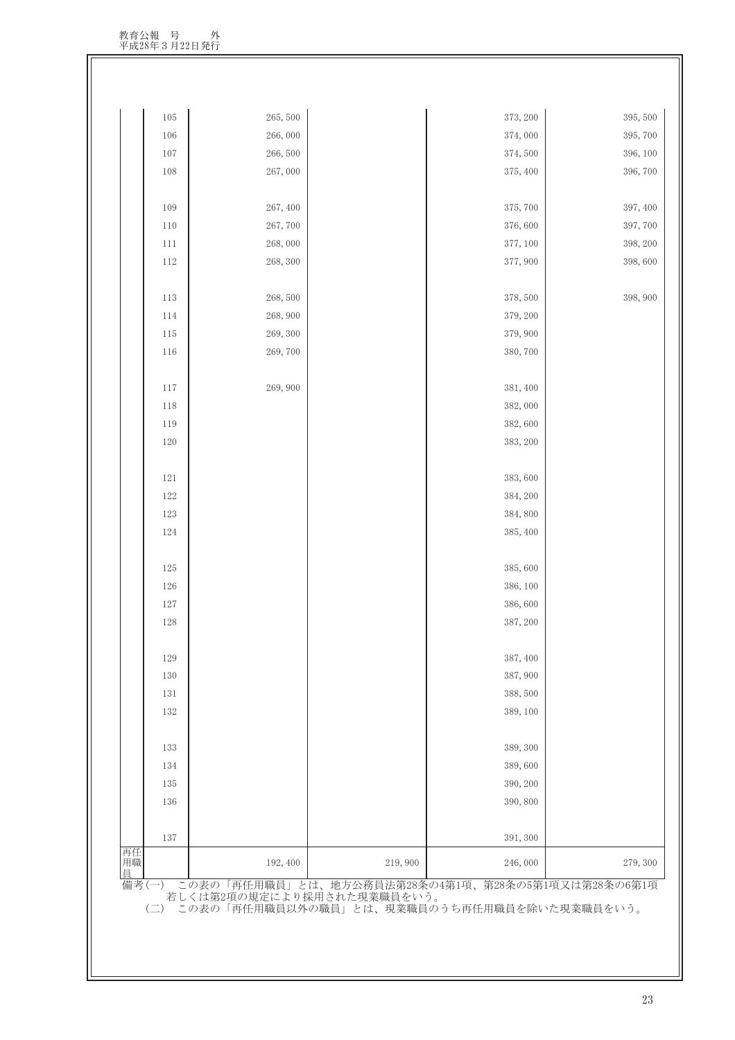| 再任<br>用職<br>員 |            | 192, 400 | 219,900 | 246,000             | 279, 300 |
|---------------|------------|----------|---------|---------------------|----------|
|               | 137        |          |         | 391, 300            |          |
|               | 136        |          |         | 390,800             |          |
|               | 135        |          |         |                     |          |
|               | 134        |          |         | 389,600<br>390, 200 |          |
|               | 133        |          |         | 389, 300            |          |
|               |            |          |         |                     |          |
|               | 132        |          |         | 389, 100            |          |
|               | 131        |          |         | 388,500             |          |
|               | 130        |          |         | 387, 900            |          |
|               | 129        |          |         | 387, 400            |          |
|               |            |          |         |                     |          |
|               | 128        |          |         | 387, 200            |          |
|               | 127        |          |         | 386,600             |          |
|               | $126\,$    |          |         | 386, 100            |          |
|               | 125        |          |         | 385,600             |          |
|               |            |          |         |                     |          |
|               | 124        |          |         | 385, 400            |          |
|               | 123        |          |         | 384,800             |          |
|               | 122        |          |         | 384, 200            |          |
|               | 121        |          |         | 383,600             |          |
|               |            |          |         |                     |          |
|               | 120        |          |         | 383, 200            |          |
|               | 119        |          |         | 382,600             |          |
|               | 117<br>118 |          |         | 382,000             |          |
|               |            | 269,900  |         | 381, 400            |          |
|               | 116        | 269,700  |         | 380,700             |          |
|               | 115        | 269, 300 |         | 379, 900            |          |
|               | 114        | 268,900  |         | 379, 200            |          |
|               | 113        | 268,500  |         | 378,500             | 398, 900 |
|               |            |          |         |                     |          |
|               | 112        | 268, 300 |         | 377, 900            | 398,600  |
|               | 111        | 268,000  |         | 377, 100            | 398, 200 |
|               | 110        | 267,700  |         | 376,600             | 397, 700 |
|               | 109        | 267, 400 |         | 375, 700            | 397, 400 |
|               |            |          |         |                     |          |
|               | 108        | 267,000  |         | 375, 400            | 396, 700 |
|               | 107        | 266,500  |         | 374,500             | 396, 100 |
|               | 106        | 266,000  |         | 374,000             | 395, 700 |
|               | $105\,$    | 265, 500 |         | 373, 200            | 395, 500 |

(二) この表の「再任用職員以外の職員」とは、現業職員のうち再任用職員を除いた現業職員をいう。